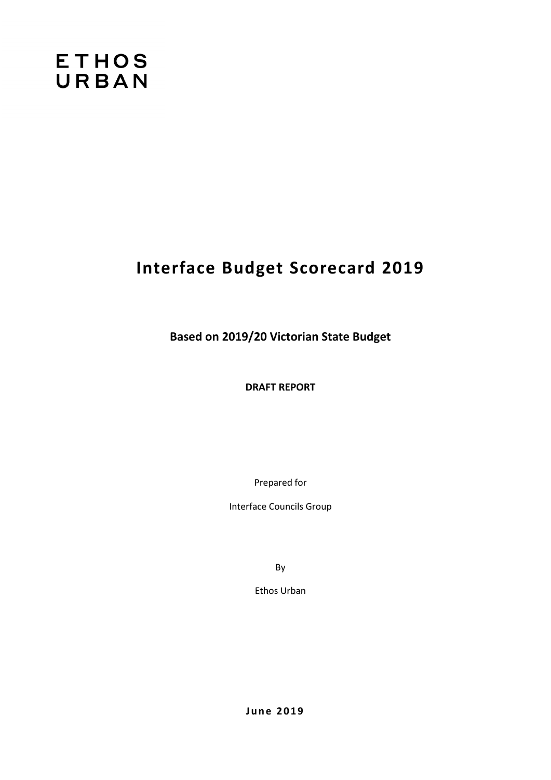# **ETHOS** URBAN

# **Interface Budget Scorecard 2019**

**Based on 2019/20 Victorian State Budget**

**DRAFT REPORT**

Prepared for

Interface Councils Group

By

Ethos Urban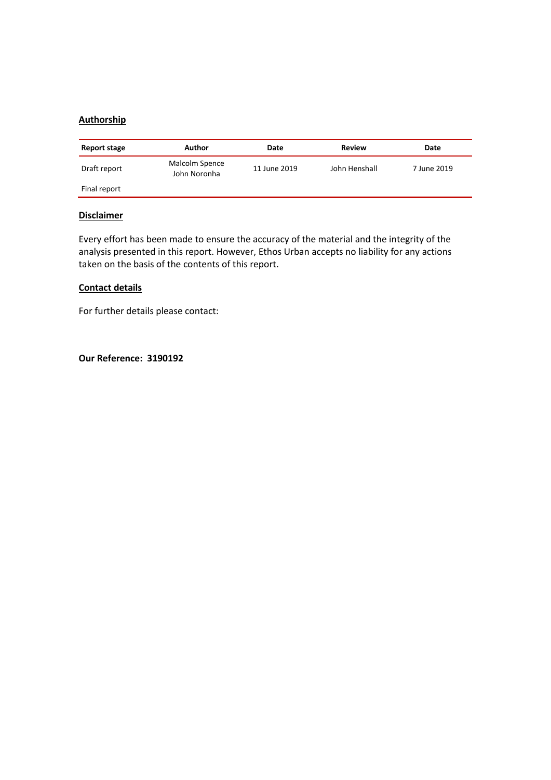#### **Authorship**

| Report stage | Author                         | Date         | <b>Review</b> | Date        |
|--------------|--------------------------------|--------------|---------------|-------------|
| Draft report | Malcolm Spence<br>John Noronha | 11 June 2019 | John Henshall | 7 June 2019 |
| Final report |                                |              |               |             |

#### **Disclaimer**

Every effort has been made to ensure the accuracy of the material and the integrity of the analysis presented in this report. However, Ethos Urban accepts no liability for any actions taken on the basis of the contents of this report.

#### **Contact details**

For further details please contact:

**Our Reference: 3190192**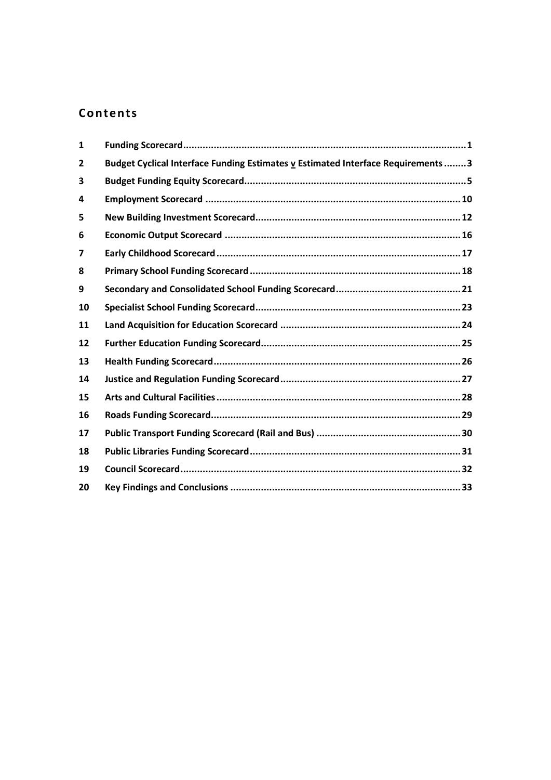## **Contents**

| $\mathbf{1}$ |                                                                                 |  |
|--------------|---------------------------------------------------------------------------------|--|
| 2            | Budget Cyclical Interface Funding Estimates v Estimated Interface Requirements3 |  |
| 3            |                                                                                 |  |
| 4            |                                                                                 |  |
| 5            |                                                                                 |  |
| 6            |                                                                                 |  |
| 7            |                                                                                 |  |
| 8            |                                                                                 |  |
| 9            |                                                                                 |  |
| 10           |                                                                                 |  |
| 11           |                                                                                 |  |
| 12           |                                                                                 |  |
| 13           |                                                                                 |  |
| 14           |                                                                                 |  |
| 15           |                                                                                 |  |
| 16           |                                                                                 |  |
| 17           |                                                                                 |  |
| 18           |                                                                                 |  |
| 19           |                                                                                 |  |
| 20           |                                                                                 |  |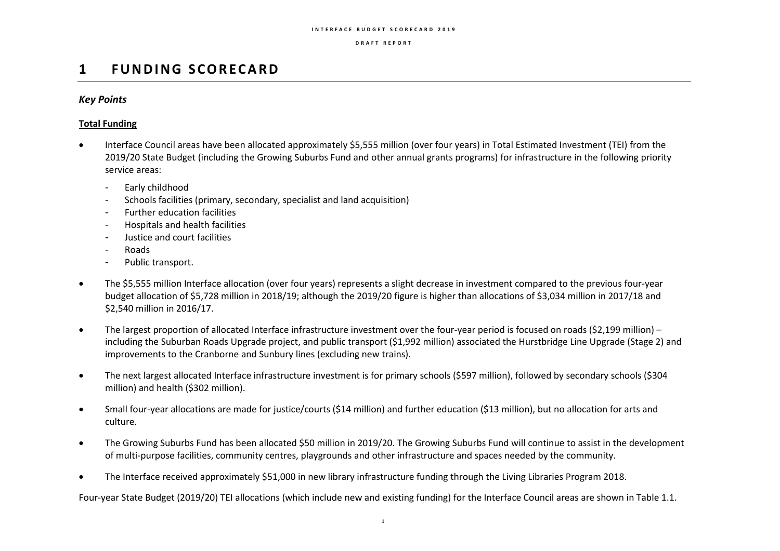#### **I N T E R F A C E B U D G E T S C O R E C A R D 2 0 1 9**

#### **D R A F T R E P O R T**

## **1 F U N D I N G S C O REC A R D**

### *Key Points*

#### **Total Funding**

- Interface Council areas have been allocated approximately \$5,555 million (over four years) in Total Estimated Investment (TEI) from the 2019/20 State Budget (including the Growing Suburbs Fund and other annual grants programs) for infrastructure in the following priority service areas:
	- Early childhood
	- Schools facilities (primary, secondary, specialist and land acquisition)
	- Further education facilities
	- Hospitals and health facilities
	- Justice and court facilities
	- Roads
	- Public transport.
- The \$5,555 million Interface allocation (over four years) represents a slight decrease in investment compared to the previous four-year budget allocation of \$5,728 million in 2018/19; although the 2019/20 figure is higher than allocations of \$3,034 million in 2017/18 and \$2,540 million in 2016/17.
- The largest proportion of allocated Interface infrastructure investment over the four-year period is focused on roads (\$2,199 million) including the Suburban Roads Upgrade project, and public transport (\$1,992 million) associated the Hurstbridge Line Upgrade (Stage 2) and improvements to the Cranborne and Sunbury lines (excluding new trains).
- The next largest allocated Interface infrastructure investment is for primary schools (\$597 million), followed by secondary schools (\$304 million) and health (\$302 million).
- Small four-year allocations are made for justice/courts (\$14 million) and further education (\$13 million), but no allocation for arts and culture.
- The Growing Suburbs Fund has been allocated \$50 million in 2019/20. The Growing Suburbs Fund will continue to assist in the development of multi-purpose facilities, community centres, playgrounds and other infrastructure and spaces needed by the community.
- The Interface received approximately \$51,000 in new library infrastructure funding through the Living Libraries Program 2018.

Four-year State Budget (2019/20) TEI allocations (which include new and existing funding) for the Interface Council areas are shown in Table 1.1.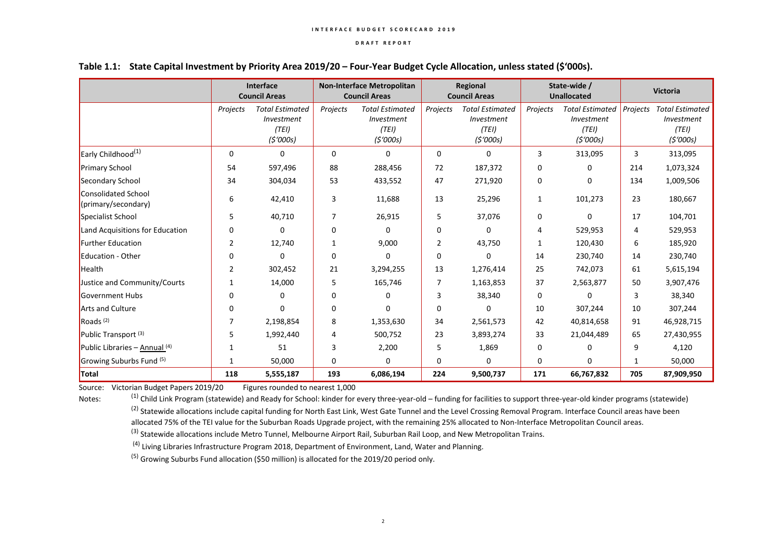#### **I N T E R F A C E B U D G E T S C O R E C A R D 2 0 1 9**

#### **D R A F T R E P O R T**

|                                                   |                | Interface<br><b>Council Areas</b>                         |             | <b>Non-Interface Metropolitan</b><br><b>Council Areas</b> |                | Regional<br><b>Council Areas</b>                          |          | State-wide /<br><b>Unallocated</b>                        |              | <b>Victoria</b>                                           |  |
|---------------------------------------------------|----------------|-----------------------------------------------------------|-------------|-----------------------------------------------------------|----------------|-----------------------------------------------------------|----------|-----------------------------------------------------------|--------------|-----------------------------------------------------------|--|
|                                                   | Projects       | <b>Total Estimated</b><br>Investment<br>(TEI)<br>(5'000s) | Projects    | <b>Total Estimated</b><br>Investment<br>(TEI)<br>(5'000s) | Projects       | <b>Total Estimated</b><br>Investment<br>(TEI)<br>(5'000s) | Projects | <b>Total Estimated</b><br>Investment<br>(TEI)<br>(5'000s) | Projects     | <b>Total Estimated</b><br>Investment<br>(TEI)<br>(5'000s) |  |
| Early Childhood <sup>(1)</sup>                    | 0              | $\Omega$                                                  | 0           | 0                                                         | 0              | 0                                                         | 3        | 313,095                                                   | 3            | 313,095                                                   |  |
| <b>Primary School</b>                             | 54             | 597,496                                                   | 88          | 288,456                                                   | 72             | 187,372                                                   | 0        | 0                                                         | 214          | 1,073,324                                                 |  |
| Secondary School                                  | 34             | 304,034                                                   | 53          | 433,552                                                   | 47             | 271,920                                                   | 0        | 0                                                         | 134          | 1,009,506                                                 |  |
| <b>Consolidated School</b><br>(primary/secondary) | 6              | 42,410                                                    | 3           | 11,688                                                    | 13             | 25,296                                                    | 1        | 101,273                                                   | 23           | 180,667                                                   |  |
| Specialist School                                 | 5              | 40,710                                                    | 7           | 26,915                                                    | 5              | 37,076                                                    | 0        | $\mathbf 0$                                               | 17           | 104,701                                                   |  |
| Land Acquisitions for Education                   | 0              | 0                                                         | $\mathbf 0$ | 0                                                         | 0              | 0                                                         | 4        | 529,953                                                   | 4            | 529,953                                                   |  |
| <b>Further Education</b>                          | $\overline{2}$ | 12,740                                                    | 1           | 9,000                                                     | $\overline{2}$ | 43,750                                                    | 1        | 120,430                                                   | 6            | 185,920                                                   |  |
| Education - Other                                 | 0              | $\Omega$                                                  | 0           | $\Omega$                                                  | 0              | $\Omega$                                                  | 14       | 230,740                                                   | 14           | 230,740                                                   |  |
| Health                                            | $\overline{2}$ | 302,452                                                   | 21          | 3,294,255                                                 | 13             | 1,276,414                                                 | 25       | 742,073                                                   | 61           | 5,615,194                                                 |  |
| Justice and Community/Courts                      | 1              | 14,000                                                    | 5           | 165,746                                                   | 7              | 1,163,853                                                 | 37       | 2,563,877                                                 | 50           | 3,907,476                                                 |  |
| Government Hubs                                   | 0              | 0                                                         | 0           | 0                                                         | 3              | 38,340                                                    | 0        | 0                                                         | 3            | 38,340                                                    |  |
| Arts and Culture                                  | 0              | $\Omega$                                                  | 0           | 0                                                         | 0              | 0                                                         | 10       | 307,244                                                   | 10           | 307,244                                                   |  |
| Roads <sup>(2)</sup>                              | 7              | 2,198,854                                                 | 8           | 1,353,630                                                 | 34             | 2,561,573                                                 | 42       | 40,814,658                                                | 91           | 46,928,715                                                |  |
| Public Transport <sup>(3)</sup>                   | 5              | 1,992,440                                                 | 4           | 500,752                                                   | 23             | 3,893,274                                                 | 33       | 21,044,489                                                | 65           | 27,430,955                                                |  |
| Public Libraries $-$ Annual $(4)$                 | 1              | 51                                                        | 3           | 2,200                                                     | 5              | 1,869                                                     | 0        | 0                                                         | 9            | 4,120                                                     |  |
| Growing Suburbs Fund (5)                          | 1              | 50,000                                                    | 0           | 0                                                         | 0              | 0                                                         | 0        | 0                                                         | $\mathbf{1}$ | 50,000                                                    |  |
| <b>Total</b>                                      | 118            | 5,555,187                                                 | 193         | 6,086,194                                                 | 224            | 9,500,737                                                 | 171      | 66,767,832                                                | 705          | 87,909,950                                                |  |

#### **Table 1.1: State Capital Investment by Priority Area 2019/20 – Four-Year Budget Cycle Allocation, unless stated (\$'000s).**

Source: Victorian Budget Papers 2019/20 Figures rounded to nearest 1,000

Notes: <sup>(1)</sup> Child Link Program (statewide) and Ready for School: kinder for every three-year-old – funding for facilities to support three-year-old kinder programs (statewide) <sup>(2)</sup> Statewide allocations include capital funding for North East Link, West Gate Tunnel and the Level Crossing Removal Program. Interface Council areas have been allocated 75% of the TEI value for the Suburban Roads Upgrade project, with the remaining 25% allocated to Non-Interface Metropolitan Council areas.

<sup>(3)</sup> Statewide allocations include Metro Tunnel, Melbourne Airport Rail, Suburban Rail Loop, and New Metropolitan Trains.

<sup>(4)</sup> Living Libraries Infrastructure Program 2018, Department of Environment, Land, Water and Planning.

 $(5)$  Growing Suburbs Fund allocation (\$50 million) is allocated for the 2019/20 period only.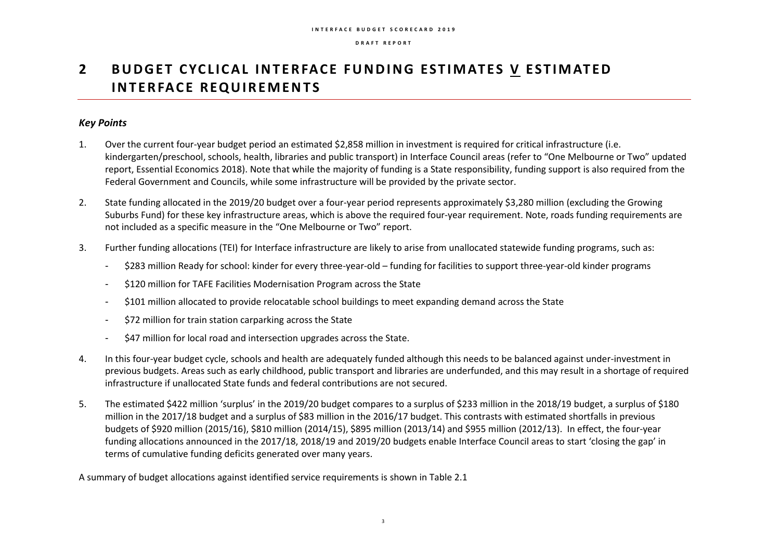## **2** BUDGET CYCLICAL INTERFACE FUNDING ESTIMATES V ESTIMATED **INTERFACE REQUIREMENTS**

#### *Key Points*

- 1. Over the current four-year budget period an estimated \$2,858 million in investment is required for critical infrastructure (i.e. kindergarten/preschool, schools, health, libraries and public transport) in Interface Council areas (refer to "One Melbourne or Two" updated report, Essential Economics 2018). Note that while the majority of funding is a State responsibility, funding support is also required from the Federal Government and Councils, while some infrastructure will be provided by the private sector.
- 2. State funding allocated in the 2019/20 budget over a four-year period represents approximately \$3,280 million (excluding the Growing Suburbs Fund) for these key infrastructure areas, which is above the required four-year requirement. Note, roads funding requirements are not included as a specific measure in the "One Melbourne or Two" report.
- 3. Further funding allocations (TEI) for Interface infrastructure are likely to arise from unallocated statewide funding programs, such as:
	- \$283 million Ready for school: kinder for every three-year-old funding for facilities to support three-year-old kinder programs
	- \$120 million for TAFE Facilities Modernisation Program across the State
	- \$101 million allocated to provide relocatable school buildings to meet expanding demand across the State
	- \$72 million for train station carparking across the State
	- \$47 million for local road and intersection upgrades across the State.
- 4. In this four-year budget cycle, schools and health are adequately funded although this needs to be balanced against under-investment in previous budgets. Areas such as early childhood, public transport and libraries are underfunded, and this may result in a shortage of required infrastructure if unallocated State funds and federal contributions are not secured.
- 5. The estimated \$422 million 'surplus' in the 2019/20 budget compares to a surplus of \$233 million in the 2018/19 budget, a surplus of \$180 million in the 2017/18 budget and a surplus of \$83 million in the 2016/17 budget. This contrasts with estimated shortfalls in previous budgets of \$920 million (2015/16), \$810 million (2014/15), \$895 million (2013/14) and \$955 million (2012/13). In effect, the four-year funding allocations announced in the 2017/18, 2018/19 and 2019/20 budgets enable Interface Council areas to start 'closing the gap' in terms of cumulative funding deficits generated over many years.

A summary of budget allocations against identified service requirements is shown in Table 2.1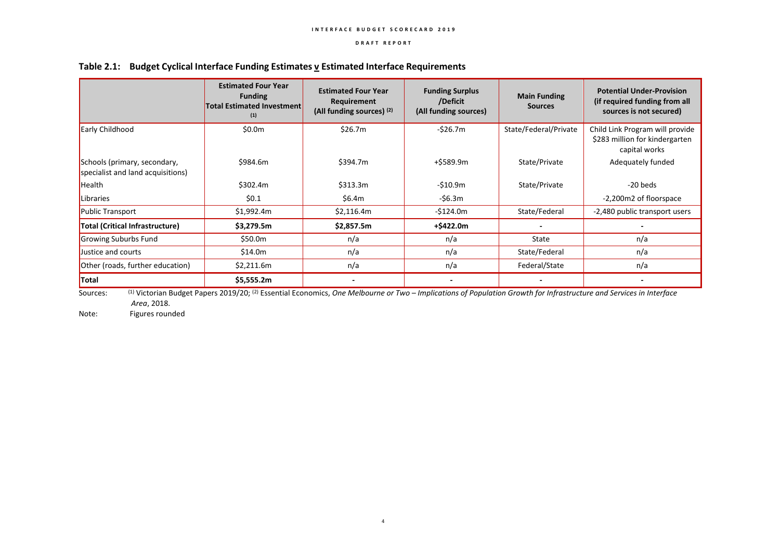|                                                                   | <b>Estimated Four Year</b><br><b>Funding</b><br><b>Total Estimated Investment</b><br>(1) | <b>Estimated Four Year</b><br>Requirement<br>(All funding sources) (2) | <b>Funding Surplus</b><br>/Deficit<br>(All funding sources) | <b>Main Funding</b><br><b>Sources</b> | <b>Potential Under-Provision</b><br>(if required funding from all<br>sources is not secured) |
|-------------------------------------------------------------------|------------------------------------------------------------------------------------------|------------------------------------------------------------------------|-------------------------------------------------------------|---------------------------------------|----------------------------------------------------------------------------------------------|
| Early Childhood                                                   | \$0.0m                                                                                   | \$26.7m                                                                | -\$26.7m                                                    | State/Federal/Private                 | Child Link Program will provide<br>\$283 million for kindergarten<br>capital works           |
| Schools (primary, secondary,<br>specialist and land acquisitions) | \$984.6m                                                                                 | \$394.7m                                                               | +\$589.9m                                                   | State/Private                         | Adequately funded                                                                            |
| Health                                                            | \$302.4m                                                                                 | \$313.3m                                                               | $-510.9m$                                                   | State/Private                         | -20 beds                                                                                     |
| Libraries                                                         | \$0.1                                                                                    | \$6.4m                                                                 | -\$6.3m                                                     |                                       | -2,200m2 of floorspace                                                                       |
| Public Transport                                                  | \$1,992.4m                                                                               | \$2,116.4m                                                             | $-5124.0m$                                                  | State/Federal                         | -2,480 public transport users                                                                |
| Total (Critical Infrastructure)                                   | \$3,279.5m                                                                               | \$2,857.5m                                                             | +\$422.0m                                                   |                                       |                                                                                              |
| Growing Suburbs Fund                                              | \$50.0m                                                                                  | n/a                                                                    | n/a                                                         | State                                 | n/a                                                                                          |
| Justice and courts                                                | \$14.0m                                                                                  | n/a                                                                    | n/a                                                         | State/Federal                         | n/a                                                                                          |
| Other (roads, further education)                                  | \$2,211.6m                                                                               | n/a                                                                    | n/a                                                         | Federal/State                         | n/a                                                                                          |
| Total                                                             | \$5,555.2m                                                                               |                                                                        |                                                             |                                       |                                                                                              |

#### **Table 2.1: Budget Cyclical Interface Funding Estimates v Estimated Interface Requirements**

Sources: <sup>(1)</sup> Victorian Budget Papers 2019/20; <sup>(2)</sup> Essential Economics, One Melbourne or Two – Implications of Population Growth for Infrastructure and Services in Interface *Area*, 2018.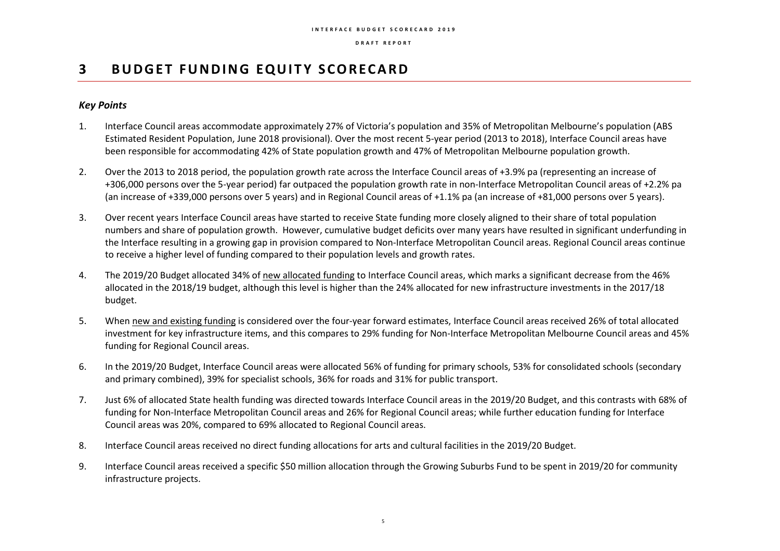## **3 BUDGET FUNDING EQUITY SCORECARD**

### *Key Points*

- 1. Interface Council areas accommodate approximately 27% of Victoria's population and 35% of Metropolitan Melbourne's population (ABS Estimated Resident Population, June 2018 provisional). Over the most recent 5-year period (2013 to 2018), Interface Council areas have been responsible for accommodating 42% of State population growth and 47% of Metropolitan Melbourne population growth.
- 2. Over the 2013 to 2018 period, the population growth rate across the Interface Council areas of +3.9% pa (representing an increase of +306,000 persons over the 5-year period) far outpaced the population growth rate in non-Interface Metropolitan Council areas of +2.2% pa (an increase of +339,000 persons over 5 years) and in Regional Council areas of +1.1% pa (an increase of +81,000 persons over 5 years).
- 3. Over recent years Interface Council areas have started to receive State funding more closely aligned to their share of total population numbers and share of population growth. However, cumulative budget deficits over many years have resulted in significant underfunding in the Interface resulting in a growing gap in provision compared to Non-Interface Metropolitan Council areas. Regional Council areas continue to receive a higher level of funding compared to their population levels and growth rates.
- 4. The 2019/20 Budget allocated 34% of new allocated funding to Interface Council areas, which marks a significant decrease from the 46% allocated in the 2018/19 budget, although this level is higher than the 24% allocated for new infrastructure investments in the 2017/18 budget.
- 5. When new and existing funding is considered over the four-year forward estimates, Interface Council areas received 26% of total allocated investment for key infrastructure items, and this compares to 29% funding for Non-Interface Metropolitan Melbourne Council areas and 45% funding for Regional Council areas.
- 6. In the 2019/20 Budget, Interface Council areas were allocated 56% of funding for primary schools, 53% for consolidated schools (secondary and primary combined), 39% for specialist schools, 36% for roads and 31% for public transport.
- 7. Just 6% of allocated State health funding was directed towards Interface Council areas in the 2019/20 Budget, and this contrasts with 68% of funding for Non-Interface Metropolitan Council areas and 26% for Regional Council areas; while further education funding for Interface Council areas was 20%, compared to 69% allocated to Regional Council areas.
- 8. Interface Council areas received no direct funding allocations for arts and cultural facilities in the 2019/20 Budget.
- 9. Interface Council areas received a specific \$50 million allocation through the Growing Suburbs Fund to be spent in 2019/20 for community infrastructure projects.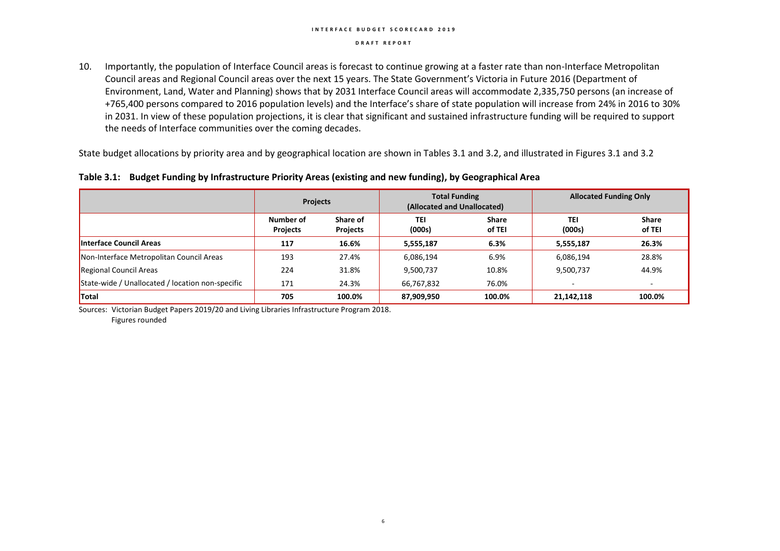#### **I N T E R F A C E B U D G E T S C O R E C A R D 2 0 1 9**

#### **D R A F T R E P O R T**

10. Importantly, the population of Interface Council areas is forecast to continue growing at a faster rate than non-Interface Metropolitan Council areas and Regional Council areas over the next 15 years. The State Government's Victoria in Future 2016 (Department of Environment, Land, Water and Planning) shows that by 2031 Interface Council areas will accommodate 2,335,750 persons (an increase of +765,400 persons compared to 2016 population levels) and the Interface's share of state population will increase from 24% in 2016 to 30% in 2031. In view of these population projections, it is clear that significant and sustained infrastructure funding will be required to support the needs of Interface communities over the coming decades.

State budget allocations by priority area and by geographical location are shown in Tables 3.1 and 3.2, and illustrated in Figures 3.1 and 3.2

|  | Table 3.1: Budget Funding by Infrastructure Priority Areas (existing and new funding), by Geographical Area |  |  |
|--|-------------------------------------------------------------------------------------------------------------|--|--|
|--|-------------------------------------------------------------------------------------------------------------|--|--|

|                                                  | Projects                     |                             | <b>Total Funding</b><br>(Allocated and Unallocated) |                        | <b>Allocated Funding Only</b> |                          |
|--------------------------------------------------|------------------------------|-----------------------------|-----------------------------------------------------|------------------------|-------------------------------|--------------------------|
|                                                  | Number of<br><b>Projects</b> | Share of<br><b>Projects</b> | TEI<br>(000s)                                       | <b>Share</b><br>of TEI | <b>TEI</b><br>(000s)          | <b>Share</b><br>of TEI   |
| <b>Interface Council Areas</b>                   | 117                          | 16.6%                       | 5,555,187                                           | 6.3%                   | 5,555,187                     | 26.3%                    |
| Non-Interface Metropolitan Council Areas         | 193                          | 27.4%                       | 6,086,194                                           | 6.9%                   | 6,086,194                     | 28.8%                    |
| <b>Regional Council Areas</b>                    | 224                          | 31.8%                       | 9,500,737                                           | 10.8%                  | 9,500,737                     | 44.9%                    |
| State-wide / Unallocated / location non-specific | 171                          | 24.3%                       | 66,767,832                                          | 76.0%                  | $\overline{\phantom{a}}$      | $\overline{\phantom{a}}$ |
| <b>Total</b>                                     | 705                          | 100.0%                      | 87,909,950                                          | 100.0%                 | 21,142,118                    | 100.0%                   |

Sources: Victorian Budget Papers 2019/20 and Living Libraries Infrastructure Program 2018. Figures rounded

6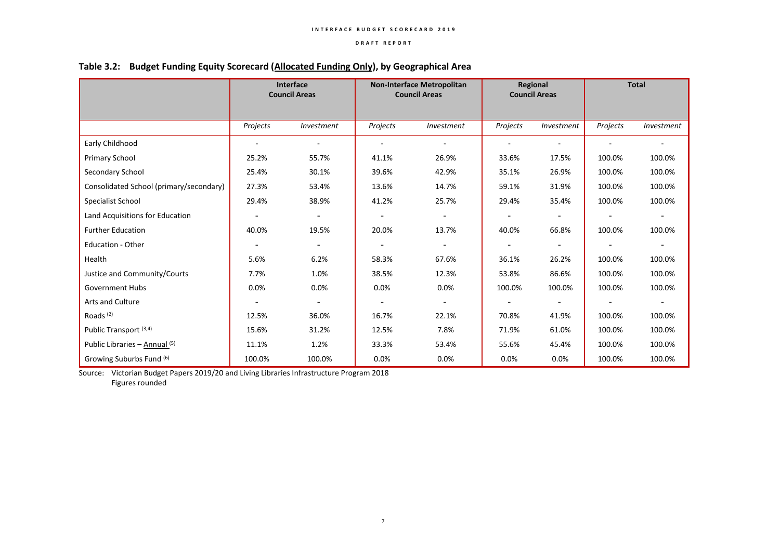|                                          | Interface<br><b>Council Areas</b> |                          |                          | <b>Non-Interface Metropolitan</b><br><b>Council Areas</b> | Regional<br><b>Council Areas</b> |                          | <b>Total</b> |                          |
|------------------------------------------|-----------------------------------|--------------------------|--------------------------|-----------------------------------------------------------|----------------------------------|--------------------------|--------------|--------------------------|
|                                          |                                   |                          |                          |                                                           |                                  |                          |              |                          |
|                                          | Projects                          | Investment               | Projects                 | Investment                                                | Projects                         | Investment               | Projects     | Investment               |
| Early Childhood                          |                                   | $\sim$                   |                          | $\sim$                                                    |                                  |                          |              | $\sim$                   |
| Primary School                           | 25.2%                             | 55.7%                    | 41.1%                    | 26.9%                                                     | 33.6%                            | 17.5%                    | 100.0%       | 100.0%                   |
| Secondary School                         | 25.4%                             | 30.1%                    | 39.6%                    | 42.9%                                                     | 35.1%                            | 26.9%                    | 100.0%       | 100.0%                   |
| Consolidated School (primary/secondary)  | 27.3%                             | 53.4%                    | 13.6%                    | 14.7%                                                     | 59.1%                            | 31.9%                    | 100.0%       | 100.0%                   |
| Specialist School                        | 29.4%                             | 38.9%                    | 41.2%                    | 25.7%                                                     | 29.4%                            | 35.4%                    | 100.0%       | 100.0%                   |
| Land Acquisitions for Education          |                                   | $\overline{\phantom{a}}$ |                          |                                                           |                                  |                          |              | $\overline{\phantom{a}}$ |
| <b>Further Education</b>                 | 40.0%                             | 19.5%                    | 20.0%                    | 13.7%                                                     | 40.0%                            | 66.8%                    | 100.0%       | 100.0%                   |
| <b>Education - Other</b>                 |                                   | $\overline{\phantom{a}}$ | $\overline{\phantom{a}}$ | $\overline{\phantom{a}}$                                  |                                  |                          |              | $\overline{\phantom{a}}$ |
| Health                                   | 5.6%                              | 6.2%                     | 58.3%                    | 67.6%                                                     | 36.1%                            | 26.2%                    | 100.0%       | 100.0%                   |
| Justice and Community/Courts             | 7.7%                              | 1.0%                     | 38.5%                    | 12.3%                                                     | 53.8%                            | 86.6%                    | 100.0%       | 100.0%                   |
| <b>Government Hubs</b>                   | 0.0%                              | 0.0%                     | 0.0%                     | 0.0%                                                      | 100.0%                           | 100.0%                   | 100.0%       | 100.0%                   |
| Arts and Culture                         |                                   | $\overline{\phantom{a}}$ | $\overline{\phantom{a}}$ | $\overline{\phantom{a}}$                                  | $\overline{\phantom{a}}$         | $\overline{\phantom{a}}$ |              | $\overline{\phantom{a}}$ |
| Roads <sup>(2)</sup>                     | 12.5%                             | 36.0%                    | 16.7%                    | 22.1%                                                     | 70.8%                            | 41.9%                    | 100.0%       | 100.0%                   |
| Public Transport (3,4)                   | 15.6%                             | 31.2%                    | 12.5%                    | 7.8%                                                      | 71.9%                            | 61.0%                    | 100.0%       | 100.0%                   |
| Public Libraries - Annual <sup>(5)</sup> | 11.1%                             | 1.2%                     | 33.3%                    | 53.4%                                                     | 55.6%                            | 45.4%                    | 100.0%       | 100.0%                   |
| Growing Suburbs Fund (6)                 | 100.0%                            | 100.0%                   | 0.0%                     | 0.0%                                                      | 0.0%                             | 0.0%                     | 100.0%       | 100.0%                   |

#### **Table 3.2: Budget Funding Equity Scorecard (Allocated Funding Only), by Geographical Area**

Source: Victorian Budget Papers 2019/20 and Living Libraries Infrastructure Program 2018 Figures rounded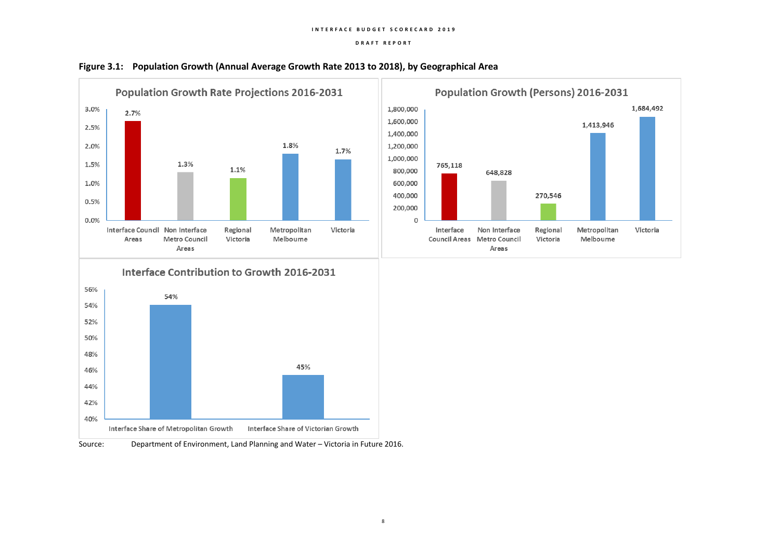





#### Interface Contribution to Growth 2016-2031



Source: Department of Environment, Land Planning and Water – Victoria in Future 2016.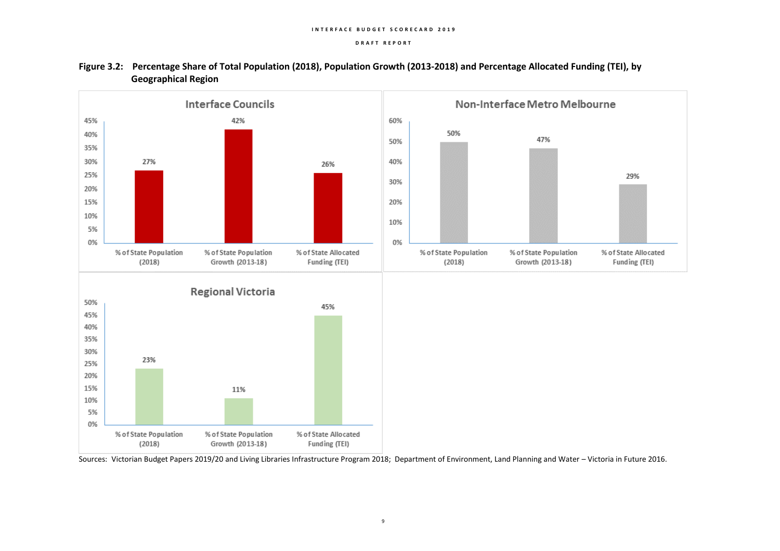



Sources: Victorian Budget Papers 2019/20 and Living Libraries Infrastructure Program 2018; Department of Environment, Land Planning and Water – Victoria in Future 2016.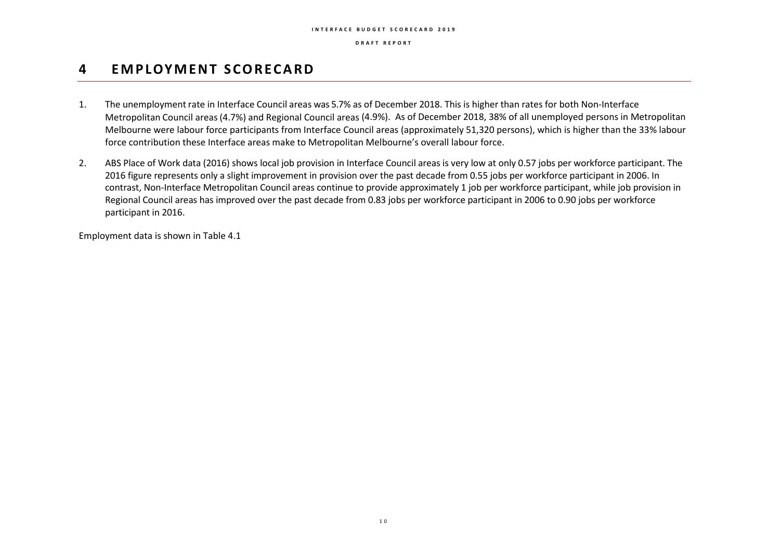#### **I N T E R F A C E B U D G E T S C O R E C A R D 2 0 1 9**

**D R A F T R E P O R T**

## **4 EM P LOY M E N T S C O R E C A R D**

- 1. The unemployment rate in Interface Council areas was 5.7% as of December 2018. This is higher than rates for both Non-Interface Metropolitan Council areas(4.7%) and Regional Council areas (4.9%). As of December 2018, 38% of all unemployed persons in Metropolitan Melbourne were labour force participants from Interface Council areas (approximately 51,320 persons), which is higher than the 33% labour force contribution these Interface areas make to Metropolitan Melbourne's overall labour force.
- 2. ABS Place of Work data (2016) shows local job provision in Interface Council areas is very low at only 0.57 jobs per workforce participant. The 2016 figure represents only a slight improvement in provision over the past decade from 0.55 jobs per workforce participant in 2006. In contrast, Non-Interface Metropolitan Council areas continue to provide approximately 1 job per workforce participant, while job provision in Regional Council areas has improved over the past decade from 0.83 jobs per workforce participant in 2006 to 0.90 jobs per workforce participant in 2016.

Employment data is shown in Table 4.1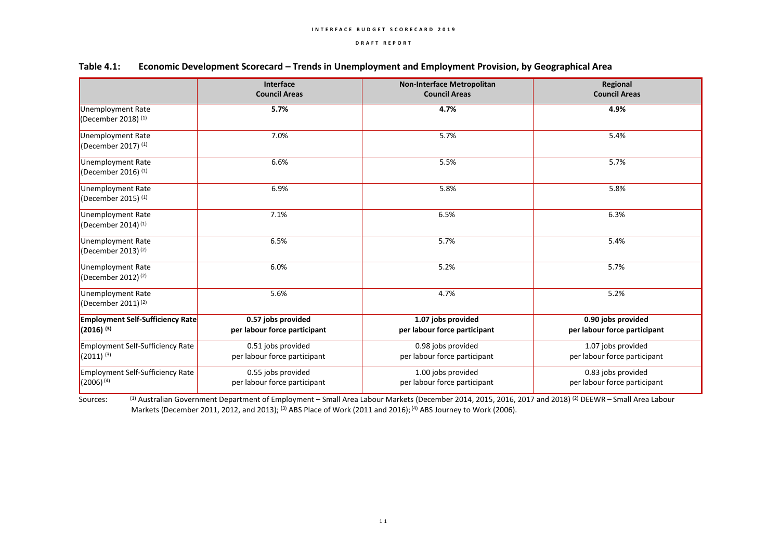|                                                            | Interface<br><b>Council Areas</b>                  | <b>Non-Interface Metropolitan</b><br><b>Council Areas</b> | Regional<br><b>Council Areas</b>                   |  |
|------------------------------------------------------------|----------------------------------------------------|-----------------------------------------------------------|----------------------------------------------------|--|
|                                                            |                                                    |                                                           |                                                    |  |
| <b>Unemployment Rate</b><br>(December 2018) <sup>(1)</sup> | 5.7%                                               | 4.7%                                                      | 4.9%                                               |  |
| Unemployment Rate<br>(December 2017) (1)                   | 7.0%                                               | 5.7%                                                      | 5.4%                                               |  |
| <b>Unemployment Rate</b><br>(December 2016) $(1)$          | 6.6%                                               | 5.5%                                                      | 5.7%                                               |  |
| <b>Unemployment Rate</b><br>(December 2015) <sup>(1)</sup> | 6.9%                                               | 5.8%                                                      | 5.8%                                               |  |
| <b>Unemployment Rate</b><br>(December 2014) <sup>(1)</sup> | 7.1%                                               | 6.5%                                                      | 6.3%                                               |  |
| <b>Unemployment Rate</b><br>(December 2013) $(2)$          | 6.5%                                               | 5.7%                                                      | 5.4%                                               |  |
| <b>Unemployment Rate</b><br>(December 2012) <sup>(2)</sup> | 6.0%                                               | 5.2%                                                      | 5.7%                                               |  |
| <b>Unemployment Rate</b><br>(December 2011) <sup>(2)</sup> | 5.6%                                               | 4.7%                                                      | 5.2%                                               |  |
| <b>Employment Self-Sufficiency Rate</b><br>$(2016)^{(3)}$  | 0.57 jobs provided<br>per labour force participant | 1.07 jobs provided<br>per labour force participant        | 0.90 jobs provided<br>per labour force participant |  |
| Employment Self-Sufficiency Rate                           | 0.51 jobs provided                                 | 0.98 jobs provided                                        | 1.07 jobs provided                                 |  |
| $(2011)^{(3)}$                                             | per labour force participant                       | per labour force participant                              | per labour force participant                       |  |
| <b>Employment Self-Sufficiency Rate</b><br>$(2006)^{(4)}$  | 0.55 jobs provided<br>per labour force participant | 1.00 jobs provided<br>per labour force participant        | 0.83 jobs provided<br>per labour force participant |  |

#### **Table 4.1: Economic Development Scorecard – Trends in Unemployment and Employment Provision, by Geographical Area**

Sources: (1) Australian Government Department of Employment – Small Area Labour Markets (December 2014, 2015, 2016, 2017 and 2018) <sup>(2)</sup> DEEWR – Small Area Labour Markets (December 2011, 2012, and 2013); (3) ABS Place of Work (2011 and 2016); <sup>(4)</sup> ABS Journey to Work (2006).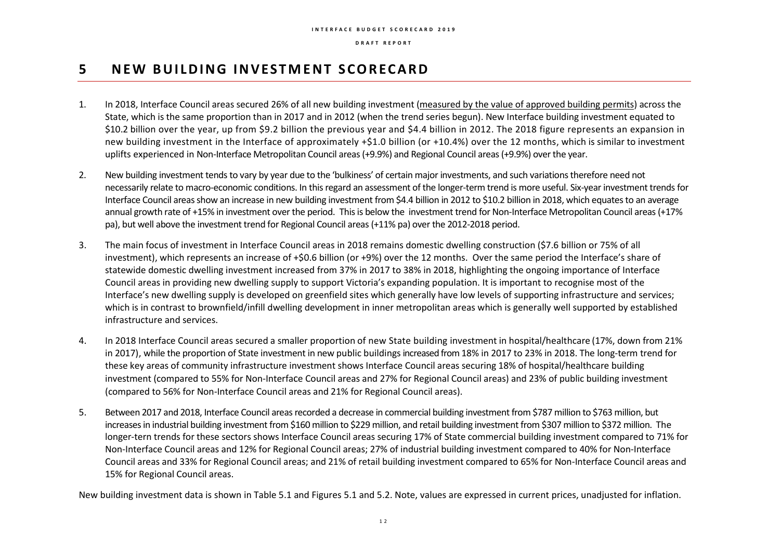## **5 N E W B U I L D I N G I N V E S T M E N T S C O R E C A R D**

- 1. In 2018, Interface Council areas secured 26% of all new building investment (measured by the value of approved building permits) across the State, which is the same proportion than in 2017 and in 2012 (when the trend series begun). New Interface building investment equated to \$10.2 billion over the year, up from \$9.2 billion the previous year and \$4.4 billion in 2012. The 2018 figure represents an expansion in new building investment in the Interface of approximately +\$1.0 billion (or +10.4%) over the 12 months, which is similar to investment uplifts experienced in Non-Interface Metropolitan Council areas (+9.9%) and Regional Council areas (+9.9%) over the year.
- 2. New building investment tends to vary by year due to the 'bulkiness' of certain major investments, and such variations therefore need not necessarily relate to macro-economic conditions. In this regard an assessment of the longer-term trend is more useful. Six-year investment trendsfor Interface Council areas show an increase in new building investment from \$4.4 billion in 2012 to \$10.2 billion in 2018, which equates to an average annual growth rate of +15% in investment over the period. This is below the investment trend for Non-Interface Metropolitan Council areas (+17% pa), but well above the investment trend for Regional Council areas (+11% pa) over the 2012-2018 period.
- 3. The main focus of investment in Interface Council areas in 2018 remains domestic dwelling construction (\$7.6 billion or 75% of all investment), which represents an increase of +\$0.6 billion (or +9%) over the 12 months. Over the same period the Interface's share of statewide domestic dwelling investment increased from 37% in 2017 to 38% in 2018, highlighting the ongoing importance of Interface Council areas in providing new dwelling supply to support Victoria's expanding population. It is important to recognise most of the Interface's new dwelling supply is developed on greenfield sites which generally have low levels of supporting infrastructure and services; which is in contrast to brownfield/infill dwelling development in inner metropolitan areas which is generally well supported by established infrastructure and services.
- 4. In 2018 Interface Council areas secured a smaller proportion of new State building investment in hospital/healthcare (17%, down from 21% in 2017), while the proportion of State investment in new public buildings increased from 18% in 2017 to 23% in 2018. The long-term trend for these key areas of community infrastructure investment shows Interface Council areas securing 18% of hospital/healthcare building investment (compared to 55% for Non-Interface Council areas and 27% for Regional Council areas) and 23% of public building investment (compared to 56% for Non-Interface Council areas and 21% for Regional Council areas).
- 5. Between 2017 and 2018, Interface Council areas recorded a decrease in commercial building investment from \$787 million to \$763 million, but increases in industrial building investment from \$160 million to \$229 million, and retail building investment from \$307 million to \$372 million. The longer-tern trends for these sectors shows Interface Council areas securing 17% of State commercial building investment compared to 71% for Non-Interface Council areas and 12% for Regional Council areas; 27% of industrial building investment compared to 40% for Non-Interface Council areas and 33% for Regional Council areas; and 21% of retail building investment compared to 65% for Non-Interface Council areas and 15% for Regional Council areas.

New building investment data is shown in Table 5.1 and Figures 5.1 and 5.2. Note, values are expressed in current prices, unadjusted for inflation.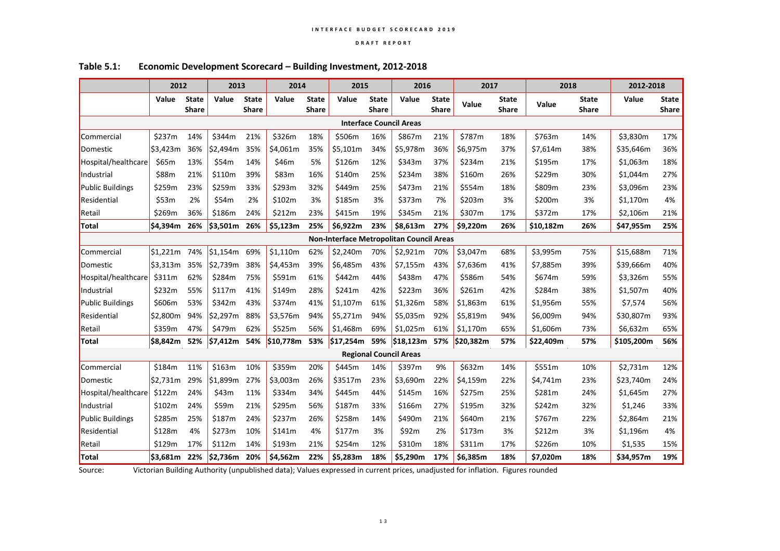|                                          | 2012     |                              | 2013     |                              | 2014      |                              | 2015      |                              | 2016                          |                              | 2017      |                              | 2018      |                              | 2012-2018  |                              |
|------------------------------------------|----------|------------------------------|----------|------------------------------|-----------|------------------------------|-----------|------------------------------|-------------------------------|------------------------------|-----------|------------------------------|-----------|------------------------------|------------|------------------------------|
|                                          | Value    | <b>State</b><br><b>Share</b> | Value    | <b>State</b><br><b>Share</b> | Value     | <b>State</b><br><b>Share</b> | Value     | <b>State</b><br><b>Share</b> | Value                         | <b>State</b><br><b>Share</b> | Value     | <b>State</b><br><b>Share</b> | Value     | <b>State</b><br><b>Share</b> | Value      | <b>State</b><br><b>Share</b> |
| <b>Interface Council Areas</b>           |          |                              |          |                              |           |                              |           |                              |                               |                              |           |                              |           |                              |            |                              |
| Commercial                               | \$237m   | 14%                          | \$344m   | 21%                          | \$326m    | 18%                          | \$506m    | 16%                          | \$867m                        | 21%                          | \$787m    | 18%                          | \$763m    | 14%                          | \$3,830m   | 17%                          |
| Domestic                                 | \$3,423m | 36%                          | \$2,494m | 35%                          | \$4,061m  | 35%                          | \$5,101m  | 34%                          | \$5,978m                      | 36%                          | \$6,975m  | 37%                          | \$7,614m  | 38%                          | \$35,646m  | 36%                          |
| Hospital/healthcare                      | \$65m    | 13%                          | \$54m    | 14%                          | \$46m     | 5%                           | \$126m    | 12%                          | \$343m                        | 37%                          | \$234m    | 21%                          | \$195m    | 17%                          | \$1,063m   | 18%                          |
| Industrial                               | \$88m    | 21%                          | \$110m   | 39%                          | \$83m     | 16%                          | \$140m    | 25%                          | \$234m                        | 38%                          | \$160m    | 26%                          | \$229m    | 30%                          | \$1,044m   | 27%                          |
| <b>Public Buildings</b>                  | \$259m   | 23%                          | \$259m   | 33%                          | \$293m    | 32%                          | \$449m    | 25%                          | \$473m                        | 21%                          | \$554m    | 18%                          | \$809m    | 23%                          | \$3,096m   | 23%                          |
| Residential                              | \$53m    | 2%                           | \$54m    | 2%                           | \$102m    | 3%                           | \$185m    | 3%                           | \$373m                        | 7%                           | \$203m    | 3%                           | \$200m    | 3%                           | \$1,170m   | 4%                           |
| Retail                                   | \$269m   | 36%                          | \$186m   | 24%                          | \$212m    | 23%                          | \$415m    | 19%                          | \$345m                        | 21%                          | \$307m    | 17%                          | \$372m    | 17%                          | \$2,106m   | 21%                          |
| Total                                    | \$4,394m | 26%                          | \$3,501m | 26%                          | \$5,123m  | 25%                          | \$6,922m  | 23%                          | \$8,613m                      | 27%                          | \$9,220m  | 26%                          | \$10,182m | 26%                          | \$47,955m  | 25%                          |
| Non-Interface Metropolitan Council Areas |          |                              |          |                              |           |                              |           |                              |                               |                              |           |                              |           |                              |            |                              |
| Commercial                               | \$1,221m | 74%                          | \$1,154m | 69%                          | \$1,110m  | 62%                          | \$2,240m  | 70%                          | \$2,921m                      | 70%                          | \$3,047m  | 68%                          | \$3,995m  | 75%                          | \$15,688m  | 71%                          |
| Domestic                                 | \$3,313m | 35%                          | \$2,739m | 38%                          | \$4,453m  | 39%                          | \$6,485m  | 43%                          | \$7,155m                      | 43%                          | \$7,636m  | 41%                          | \$7,885m  | 39%                          | \$39,666m  | 40%                          |
| Hospital/healthcare                      | \$311m   | 62%                          | \$284m   | 75%                          | \$591m    | 61%                          | \$442m    | 44%                          | \$438m                        | 47%                          | \$586m    | 54%                          | \$674m    | 59%                          | \$3,326m   | 55%                          |
| Industrial                               | \$232m   | 55%                          | \$117m   | 41%                          | \$149m    | 28%                          | \$241m    | 42%                          | \$223m                        | 36%                          | \$261m    | 42%                          | \$284m    | 38%                          | \$1,507m   | 40%                          |
| <b>Public Buildings</b>                  | \$606m   | 53%                          | \$342m   | 43%                          | \$374m    | 41%                          | \$1,107m  | 61%                          | \$1,326m                      | 58%                          | \$1,863m  | 61%                          | \$1,956m  | 55%                          | \$7,574    | 56%                          |
| Residential                              | \$2,800m | 94%                          | \$2,297m | 88%                          | \$3,576m  | 94%                          | \$5,271m  | 94%                          | \$5,035m                      | 92%                          | \$5,819m  | 94%                          | \$6,009m  | 94%                          | \$30,807m  | 93%                          |
| Retail                                   | \$359m   | 47%                          | \$479m   | 62%                          | \$525m    | 56%                          | \$1,468m  | 69%                          | \$1,025m                      | 61%                          | \$1,170m  | 65%                          | \$1,606m  | 73%                          | \$6,632m   | 65%                          |
| Total                                    | \$8,842m | 52%                          | \$7,412m | 54%                          | \$10,778m | 53%                          | \$17,254m | 59%                          | \$18,123m                     | 57%                          | \$20,382m | 57%                          | \$22,409m | 57%                          | \$105,200m | 56%                          |
|                                          |          |                              |          |                              |           |                              |           |                              | <b>Regional Council Areas</b> |                              |           |                              |           |                              |            |                              |
| Commercial                               | \$184m   | 11%                          | \$163m   | 10%                          | \$359m    | 20%                          | \$445m    | 14%                          | \$397m                        | 9%                           | \$632m    | 14%                          | \$551m    | 10%                          | \$2,731m   | 12%                          |
| Domestic                                 | \$2,731m | 29%                          | \$1,899m | 27%                          | \$3,003m  | 26%                          | \$3517m   | 23%                          | \$3,690m                      | 22%                          | \$4,159m  | 22%                          | \$4,741m  | 23%                          | \$23,740m  | 24%                          |
| Hospital/healthcare                      | \$122m   | 24%                          | \$43m    | 11%                          | \$334m    | 34%                          | \$445m    | 44%                          | \$145m                        | 16%                          | \$275m    | 25%                          | \$281m    | 24%                          | \$1,645m   | 27%                          |
| Industrial                               | \$102m   | 24%                          | \$59m    | 21%                          | \$295m    | 56%                          | \$187m    | 33%                          | \$166m                        | 27%                          | \$195m    | 32%                          | \$242m    | 32%                          | \$1,246    | 33%                          |
| <b>Public Buildings</b>                  | \$285m   | 25%                          | \$187m   | 24%                          | \$237m    | 26%                          | \$258m    | 14%                          | \$490m                        | 21%                          | \$640m    | 21%                          | \$767m    | 22%                          | \$2,864m   | 21%                          |
| Residential                              | \$128m   | 4%                           | \$273m   | 10%                          | \$141m    | 4%                           | \$177m    | 3%                           | \$92m                         | 2%                           | \$173m    | 3%                           | \$212m    | 3%                           | \$1,196m   | 4%                           |
| Retail                                   | \$129m   | 17%                          | \$112m   | 14%                          | \$193m    | 21%                          | \$254m    | 12%                          | \$310m                        | 18%                          | \$311m    | 17%                          | \$226m    | 10%                          | \$1,535    | 15%                          |
| <b>Total</b>                             | \$3,681m | 22%                          | \$2,736m | 20%                          | \$4,562m  | 22%                          | \$5,283m  | 18%                          | \$5,290m                      | 17%                          | \$6,385m  | 18%                          | \$7,020m  | 18%                          | \$34,957m  | 19%                          |

#### **Table 5.1: Economic Development Scorecard – Building Investment, 2012-2018**

Source: Victorian Building Authority (unpublished data); Values expressed in current prices, unadjusted for inflation. Figures rounded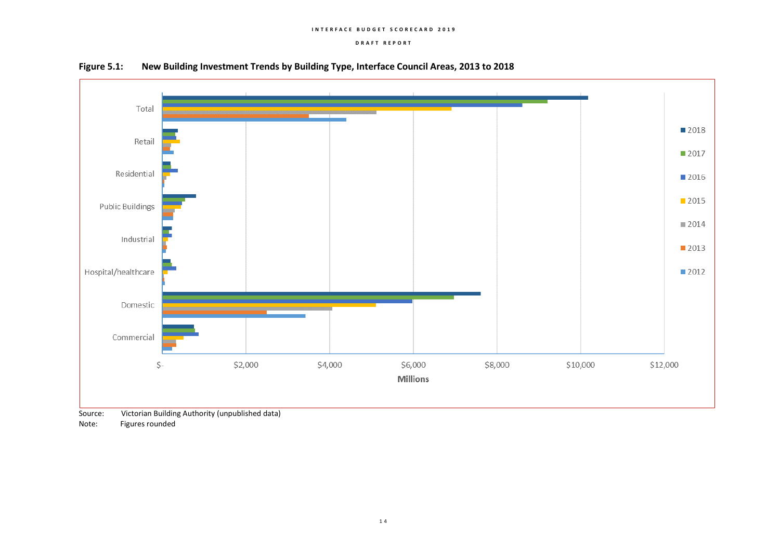#### **I N T E R F A C E B U D G E T S C O R E C A R D 2 0 1 9**

#### **D R A F T R E P O R T**



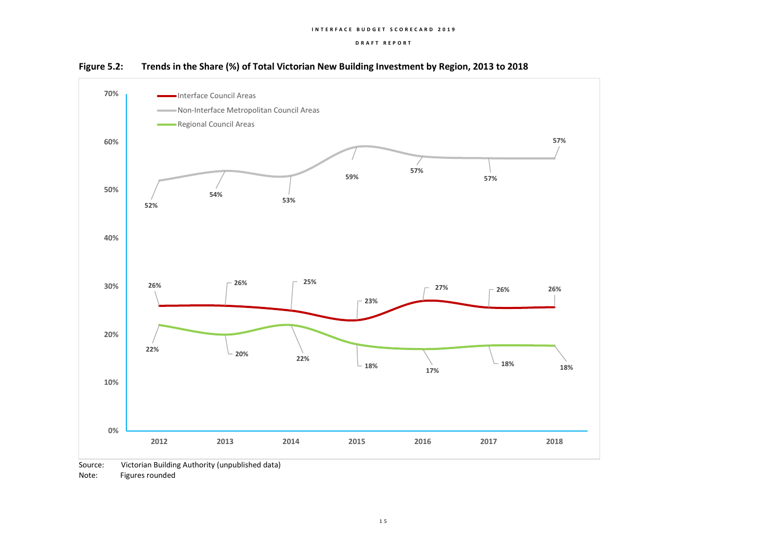

**Figure 5.2: Trends in the Share (%) of Total Victorian New Building Investment by Region, 2013 to 2018**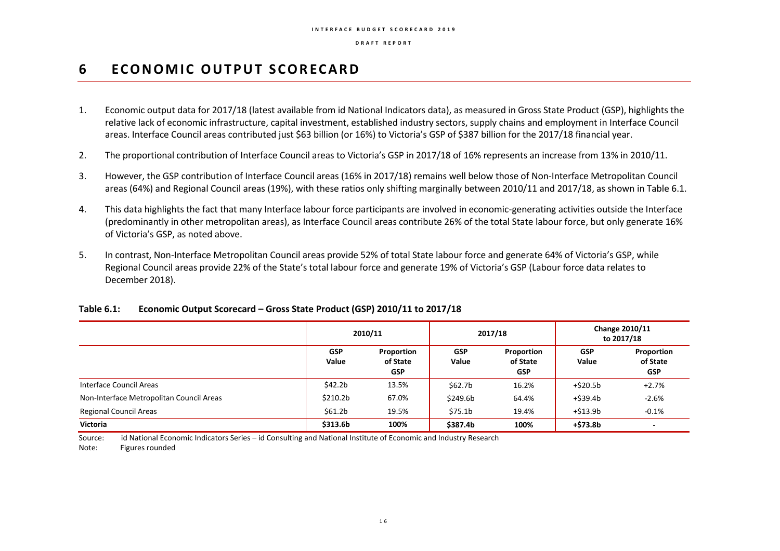## **6 ECONOMIC OUTPUT SCORECARD**

- 1. Economic output data for 2017/18 (latest available from id National Indicators data), as measured in Gross State Product (GSP), highlights the relative lack of economic infrastructure, capital investment, established industry sectors, supply chains and employment in Interface Council areas. Interface Council areas contributed just \$63 billion (or 16%) to Victoria's GSP of \$387 billion for the 2017/18 financial year.
- 2. The proportional contribution of Interface Council areas to Victoria's GSP in 2017/18 of 16% represents an increase from 13% in 2010/11.
- 3. However, the GSP contribution of Interface Council areas (16% in 2017/18) remains well below those of Non-Interface Metropolitan Council areas (64%) and Regional Council areas (19%), with these ratios only shifting marginally between 2010/11 and 2017/18, as shown in Table 6.1.
- 4. This data highlights the fact that many Interface labour force participants are involved in economic-generating activities outside the Interface (predominantly in other metropolitan areas), as Interface Council areas contribute 26% of the total State labour force, but only generate 16% of Victoria's GSP, as noted above.
- 5. In contrast, Non-Interface Metropolitan Council areas provide 52% of total State labour force and generate 64% of Victoria's GSP, while Regional Council areas provide 22% of the State's total labour force and generate 19% of Victoria's GSP (Labour force data relates to December 2018).

|                                          |                      | 2010/11                              |                     | 2017/18                              | Change 2010/11<br>to 2017/18 |                                      |
|------------------------------------------|----------------------|--------------------------------------|---------------------|--------------------------------------|------------------------------|--------------------------------------|
|                                          | <b>GSP</b><br>Value  | Proportion<br>of State<br><b>GSP</b> | <b>GSP</b><br>Value | Proportion<br>of State<br><b>GSP</b> | <b>GSP</b><br>Value          | Proportion<br>of State<br><b>GSP</b> |
| Interface Council Areas                  | \$42.2b              | 13.5%                                | \$62.7b             | 16.2%                                | +\$20.5b                     | $+2.7%$                              |
| Non-Interface Metropolitan Council Areas | \$210.2 <sub>b</sub> | 67.0%                                | \$249.6b            | 64.4%                                | +\$39.4b                     | $-2.6%$                              |
| <b>Regional Council Areas</b>            | \$61.2 <sub>b</sub>  | 19.5%                                | \$75.1b             | 19.4%                                | +\$13.9b                     | $-0.1%$                              |
| Victoria                                 | \$313.6b             | 100%                                 | \$387.4b            | 100%                                 | +\$73.8b                     | $\overline{\phantom{a}}$             |

## **Table 6.1: Economic Output Scorecard – Gross State Product (GSP) 2010/11 to 2017/18**

Source: id National Economic Indicators Series – id Consulting and National Institute of Economic and Industry Research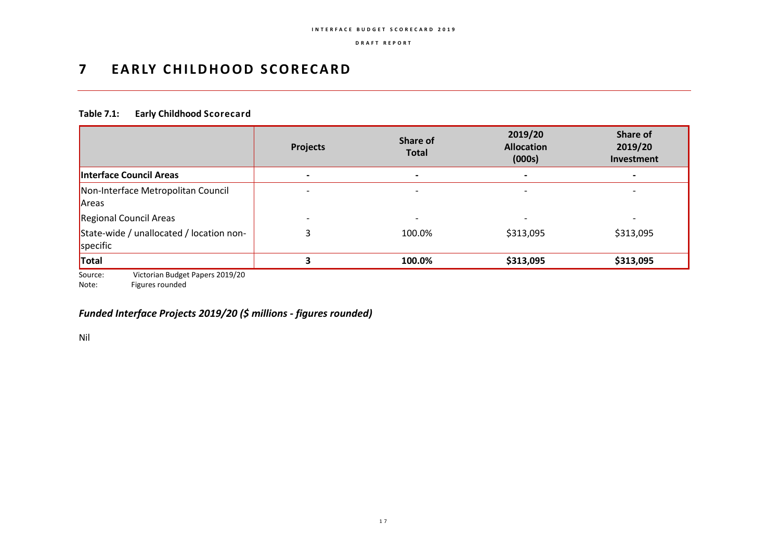## **7 E A R LY C H I L D H O O D S C O R E C A R D**

### **Table 7.1: Early Childhood Scorecard**

|                                                      | <b>Projects</b> | Share of<br><b>Total</b> | 2019/20<br><b>Allocation</b><br>(000s) | Share of<br>2019/20<br>Investment |
|------------------------------------------------------|-----------------|--------------------------|----------------------------------------|-----------------------------------|
| Interface Council Areas                              |                 | $\blacksquare$           | $\blacksquare$                         |                                   |
| Non-Interface Metropolitan Council<br>Areas          |                 | $\overline{\phantom{0}}$ |                                        |                                   |
| Regional Council Areas                               |                 |                          |                                        |                                   |
| State-wide / unallocated / location non-<br>specific |                 | 100.0%                   | \$313,095                              | \$313,095                         |
| Total                                                |                 | 100.0%                   | \$313,095                              | \$313,095                         |
| Victorian Budget Papers 2019/20<br>Source:           |                 |                          |                                        |                                   |

Note: Figures rounded

## *Funded Interface Projects 2019/20 (\$ millions - figures rounded)*

Nil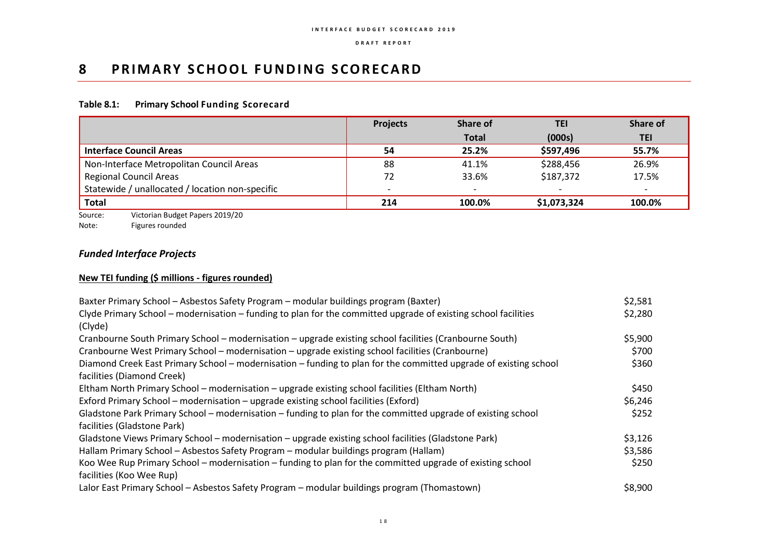## **8 PRIMARY SCHOOL FUNDING SCORECARD**

### **Table 8.1: Primary School Funding Scorecard**

|                                                 | <b>Projects</b>          | Share of                 | TEI         | Share of                 |
|-------------------------------------------------|--------------------------|--------------------------|-------------|--------------------------|
|                                                 |                          | <b>Total</b>             | (000s)      | <b>TEI</b>               |
| <b>Interface Council Areas</b>                  | 54                       | 25.2%                    | \$597,496   | 55.7%                    |
| Non-Interface Metropolitan Council Areas        | 88                       | 41.1%                    | \$288,456   | 26.9%                    |
| <b>Regional Council Areas</b>                   | 72                       | 33.6%                    | \$187,372   | 17.5%                    |
| Statewide / unallocated / location non-specific | $\overline{\phantom{0}}$ | $\overline{\phantom{a}}$ | -           | $\overline{\phantom{0}}$ |
| <b>Total</b>                                    | 214                      | 100.0%                   | \$1,073,324 | 100.0%                   |

Source: Victorian Budget Papers 2019/20

Note: Figures rounded

## *Funded Interface Projects*

### **New TEI funding (\$ millions - figures rounded)**

| Baxter Primary School - Asbestos Safety Program - modular buildings program (Baxter)                             | \$2,581 |
|------------------------------------------------------------------------------------------------------------------|---------|
| Clyde Primary School – modernisation – funding to plan for the committed upgrade of existing school facilities   | \$2,280 |
| (Clyde)                                                                                                          |         |
| Cranbourne South Primary School - modernisation - upgrade existing school facilities (Cranbourne South)          | \$5,900 |
| Cranbourne West Primary School - modernisation - upgrade existing school facilities (Cranbourne)                 | \$700   |
| Diamond Creek East Primary School – modernisation – funding to plan for the committed upgrade of existing school | \$360   |
| facilities (Diamond Creek)                                                                                       |         |
| Eltham North Primary School - modernisation - upgrade existing school facilities (Eltham North)                  | \$450   |
| Exford Primary School - modernisation - upgrade existing school facilities (Exford)                              | \$6,246 |
| Gladstone Park Primary School – modernisation – funding to plan for the committed upgrade of existing school     | \$252   |
| facilities (Gladstone Park)                                                                                      |         |
| Gladstone Views Primary School – modernisation – upgrade existing school facilities (Gladstone Park)             | \$3,126 |
| Hallam Primary School – Asbestos Safety Program – modular buildings program (Hallam)                             | \$3,586 |
| Koo Wee Rup Primary School – modernisation – funding to plan for the committed upgrade of existing school        | \$250   |
| facilities (Koo Wee Rup)                                                                                         |         |
| Lalor East Primary School - Asbestos Safety Program - modular buildings program (Thomastown)                     | \$8,900 |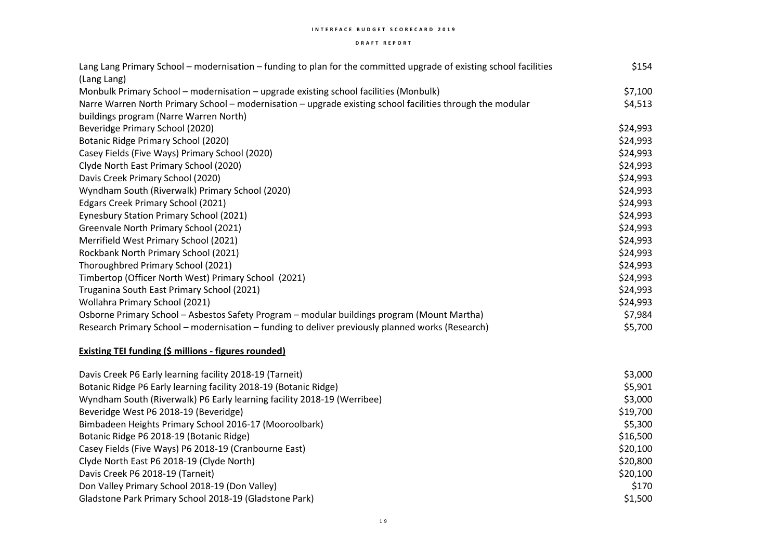#### **I N T E R F A C E B U D G E T S C O R E C A R D 2 0 1 9**

#### **D R A F T R E P O R T**

| Lang Lang Primary School – modernisation – funding to plan for the committed upgrade of existing school facilities | \$154    |
|--------------------------------------------------------------------------------------------------------------------|----------|
| (Lang Lang)                                                                                                        |          |
| Monbulk Primary School - modernisation - upgrade existing school facilities (Monbulk)                              | \$7,100  |
| Narre Warren North Primary School - modernisation - upgrade existing school facilities through the modular         | \$4,513  |
| buildings program (Narre Warren North)                                                                             |          |
| Beveridge Primary School (2020)                                                                                    | \$24,993 |
| Botanic Ridge Primary School (2020)                                                                                | \$24,993 |
| Casey Fields (Five Ways) Primary School (2020)                                                                     | \$24,993 |
| Clyde North East Primary School (2020)                                                                             | \$24,993 |
| Davis Creek Primary School (2020)                                                                                  | \$24,993 |
| Wyndham South (Riverwalk) Primary School (2020)                                                                    | \$24,993 |
| Edgars Creek Primary School (2021)                                                                                 | \$24,993 |
| Eynesbury Station Primary School (2021)                                                                            | \$24,993 |
| Greenvale North Primary School (2021)                                                                              | \$24,993 |
| Merrifield West Primary School (2021)                                                                              | \$24,993 |
| Rockbank North Primary School (2021)                                                                               | \$24,993 |
| Thoroughbred Primary School (2021)                                                                                 | \$24,993 |
| Timbertop (Officer North West) Primary School (2021)                                                               | \$24,993 |
| Truganina South East Primary School (2021)                                                                         | \$24,993 |
| Wollahra Primary School (2021)                                                                                     | \$24,993 |
| Osborne Primary School - Asbestos Safety Program - modular buildings program (Mount Martha)                        | \$7,984  |
| Research Primary School - modernisation - funding to deliver previously planned works (Research)                   | \$5,700  |
| <b>Existing TEI funding (\$ millions - figures rounded)</b>                                                        |          |
| Davis Creek P6 Early learning facility 2018-19 (Tarneit)                                                           | \$3,000  |
| Botanic Ridge P6 Early learning facility 2018-19 (Botanic Ridge)                                                   | \$5,901  |
| Wyndham South (Riverwalk) P6 Early learning facility 2018-19 (Werribee)                                            | \$3,000  |
| Beveridge West P6 2018-19 (Beveridge)                                                                              | \$19,700 |
| Bimbadeen Heights Primary School 2016-17 (Mooroolbark)                                                             | \$5,300  |
| Botanic Ridge P6 2018-19 (Botanic Ridge)                                                                           | \$16,500 |
| Casey Fields (Five Ways) P6 2018-19 (Cranbourne East)                                                              | \$20,100 |
| Clyde North East P6 2018-19 (Clyde North)                                                                          | \$20,800 |
| Davis Creek P6 2018-19 (Tarneit)                                                                                   | \$20,100 |
| Don Valley Primary School 2018-19 (Don Valley)                                                                     | \$170    |
| Gladstone Park Primary School 2018-19 (Gladstone Park)                                                             | \$1,500  |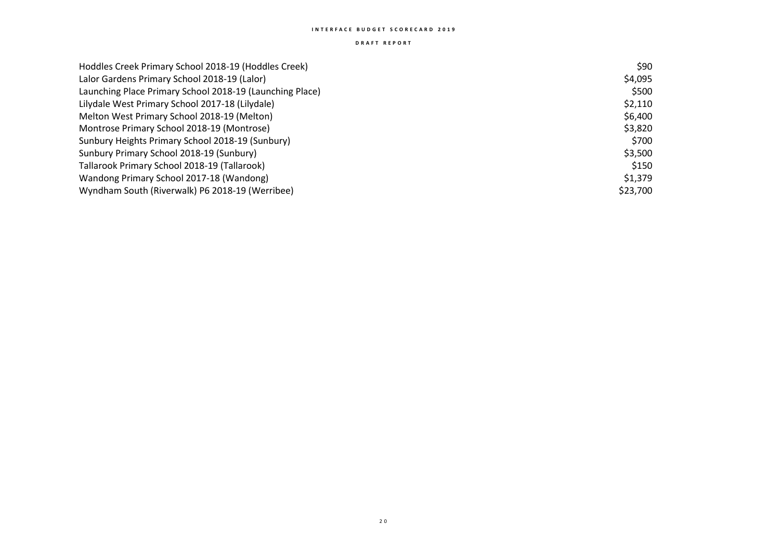#### **I N T E R F A C E B U D G E T S C O R E C A R D 2 0 1 9**

#### **D R A F T R E P O R T**

| Hoddles Creek Primary School 2018-19 (Hoddles Creek)     | \$90     |
|----------------------------------------------------------|----------|
| Lalor Gardens Primary School 2018-19 (Lalor)             | \$4,095  |
| Launching Place Primary School 2018-19 (Launching Place) | \$500    |
| Lilydale West Primary School 2017-18 (Lilydale)          | \$2,110  |
| Melton West Primary School 2018-19 (Melton)              | \$6,400  |
| Montrose Primary School 2018-19 (Montrose)               | \$3,820  |
| Sunbury Heights Primary School 2018-19 (Sunbury)         | \$700    |
| Sunbury Primary School 2018-19 (Sunbury)                 | \$3,500  |
| Tallarook Primary School 2018-19 (Tallarook)             | \$150    |
| Wandong Primary School 2017-18 (Wandong)                 | \$1,379  |
| Wyndham South (Riverwalk) P6 2018-19 (Werribee)          | \$23,700 |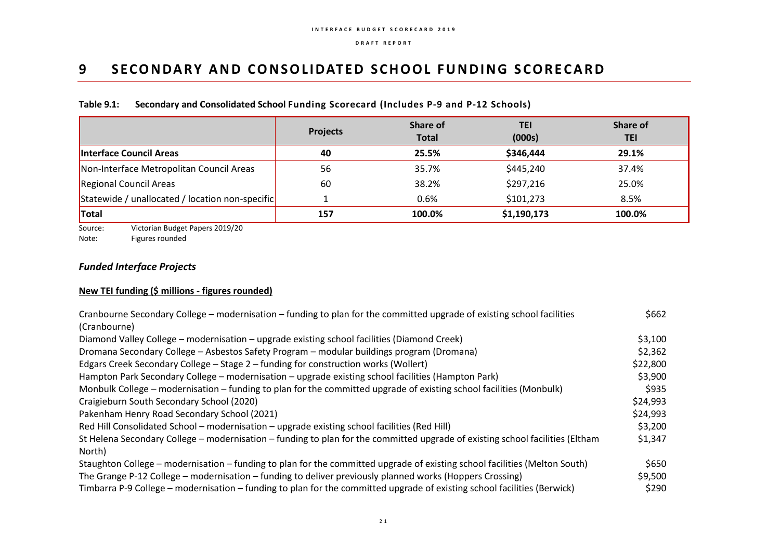## **9 SECONDARY AND CONSOLIDATED SCHOOL FUNDING SCORECARD**

| Table 9.1: | Secondary and Consolidated School Funding Scorecard (Includes P-9 and P-12 Schools) |
|------------|-------------------------------------------------------------------------------------|
|------------|-------------------------------------------------------------------------------------|

|                                                 | <b>Projects</b> | <b>Share of</b><br><b>Total</b> | <b>TEI</b><br>(000s) | <b>Share of</b><br>TEI |
|-------------------------------------------------|-----------------|---------------------------------|----------------------|------------------------|
| Interface Council Areas                         | 40              | 25.5%                           | \$346,444            | 29.1%                  |
| Non-Interface Metropolitan Council Areas        | 56              | 35.7%                           | \$445,240            | 37.4%                  |
| Regional Council Areas                          | 60              | 38.2%                           | \$297,216            | 25.0%                  |
| Statewide / unallocated / location non-specific |                 | 0.6%                            | \$101,273            | 8.5%                   |
| <b>Total</b>                                    | 157             | 100.0%                          | \$1,190,173          | 100.0%                 |

Source: Victorian Budget Papers 2019/20 Note: Figures rounded

## *Funded Interface Projects*

### **New TEI funding (\$ millions - figures rounded)**

| Cranbourne Secondary College – modernisation – funding to plan for the committed upgrade of existing school facilities        | \$662    |
|-------------------------------------------------------------------------------------------------------------------------------|----------|
| (Cranbourne)                                                                                                                  |          |
| Diamond Valley College - modernisation - upgrade existing school facilities (Diamond Creek)                                   | \$3,100  |
| Dromana Secondary College - Asbestos Safety Program - modular buildings program (Dromana)                                     | \$2,362  |
| Edgars Creek Secondary College - Stage 2 - funding for construction works (Wollert)                                           | \$22,800 |
| Hampton Park Secondary College - modernisation - upgrade existing school facilities (Hampton Park)                            | \$3,900  |
| Monbulk College – modernisation – funding to plan for the committed upgrade of existing school facilities (Monbulk)           | \$935    |
| Craigieburn South Secondary School (2020)                                                                                     | \$24,993 |
| Pakenham Henry Road Secondary School (2021)                                                                                   | \$24,993 |
| Red Hill Consolidated School - modernisation - upgrade existing school facilities (Red Hill)                                  | \$3,200  |
| St Helena Secondary College – modernisation – funding to plan for the committed upgrade of existing school facilities (Eltham | \$1,347  |
| North)                                                                                                                        |          |
| Staughton College – modernisation – funding to plan for the committed upgrade of existing school facilities (Melton South)    | \$650    |
| The Grange P-12 College - modernisation - funding to deliver previously planned works (Hoppers Crossing)                      | \$9,500  |
| Timbarra P-9 College – modernisation – funding to plan for the committed upgrade of existing school facilities (Berwick)      | \$290    |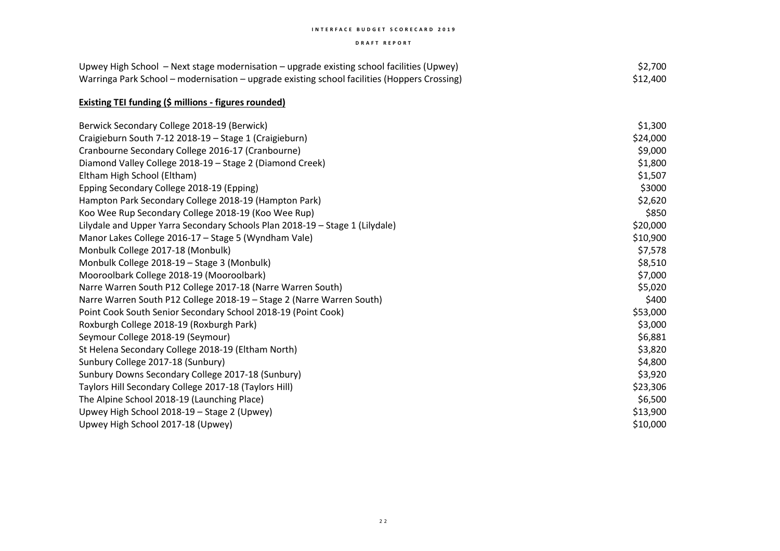#### **I N T E R F A C E B U D G E T S C O R E C A R D 2 0 1 9**

#### **D R A F T R E P O R T**

| Upwey High School - Next stage modernisation - upgrade existing school facilities (Upwey)    | \$2,700  |
|----------------------------------------------------------------------------------------------|----------|
| Warringa Park School - modernisation - upgrade existing school facilities (Hoppers Crossing) | \$12,400 |
| Existing TEI funding (\$ millions - figures rounded)                                         |          |
| Berwick Secondary College 2018-19 (Berwick)                                                  | \$1,300  |
| Craigieburn South 7-12 2018-19 - Stage 1 (Craigieburn)                                       | \$24,000 |
| Cranbourne Secondary College 2016-17 (Cranbourne)                                            | \$9,000  |
| Diamond Valley College 2018-19 - Stage 2 (Diamond Creek)                                     | \$1,800  |
| Eltham High School (Eltham)                                                                  | \$1,507  |
| Epping Secondary College 2018-19 (Epping)                                                    | \$3000   |
| Hampton Park Secondary College 2018-19 (Hampton Park)                                        | \$2,620  |
| Koo Wee Rup Secondary College 2018-19 (Koo Wee Rup)                                          | \$850    |
| Lilydale and Upper Yarra Secondary Schools Plan 2018-19 - Stage 1 (Lilydale)                 | \$20,000 |
| Manor Lakes College 2016-17 - Stage 5 (Wyndham Vale)                                         | \$10,900 |
| Monbulk College 2017-18 (Monbulk)                                                            | \$7,578  |
| Monbulk College 2018-19 - Stage 3 (Monbulk)                                                  | \$8,510  |
| Mooroolbark College 2018-19 (Mooroolbark)                                                    | \$7,000  |
| Narre Warren South P12 College 2017-18 (Narre Warren South)                                  | \$5,020  |
| Narre Warren South P12 College 2018-19 - Stage 2 (Narre Warren South)                        | \$400    |
| Point Cook South Senior Secondary School 2018-19 (Point Cook)                                | \$53,000 |
| Roxburgh College 2018-19 (Roxburgh Park)                                                     | \$3,000  |
| Seymour College 2018-19 (Seymour)                                                            | \$6,881  |
| St Helena Secondary College 2018-19 (Eltham North)                                           | \$3,820  |
| Sunbury College 2017-18 (Sunbury)                                                            | \$4,800  |
| Sunbury Downs Secondary College 2017-18 (Sunbury)                                            | \$3,920  |
| Taylors Hill Secondary College 2017-18 (Taylors Hill)                                        | \$23,306 |
| The Alpine School 2018-19 (Launching Place)                                                  | \$6,500  |
| Upwey High School 2018-19 - Stage 2 (Upwey)                                                  | \$13,900 |
| Upwey High School 2017-18 (Upwey)                                                            | \$10,000 |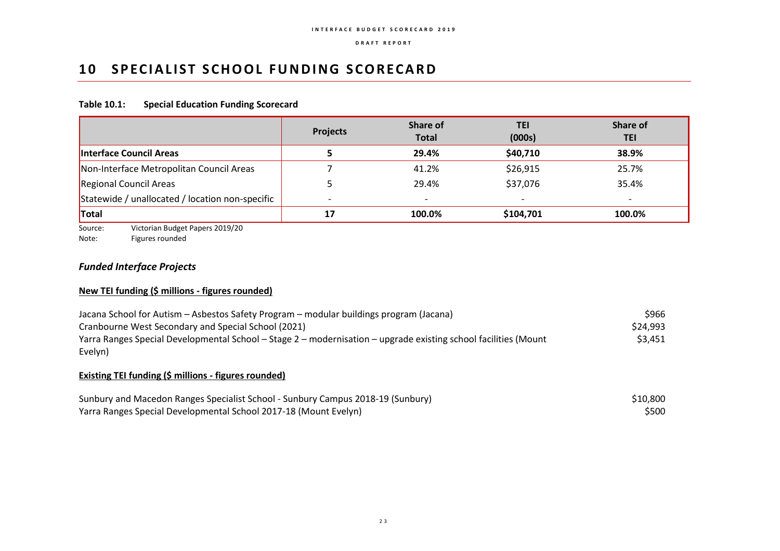## **10 SPECIALIST SCHOOL FUNDING SCORECARD**

### **Table 10.1: Special Education Funding Scorecard**

|                                                 | <b>Projects</b> | Share of<br><b>Total</b> | TEI<br>(000s)            | <b>Share of</b><br>TEI   |
|-------------------------------------------------|-----------------|--------------------------|--------------------------|--------------------------|
| Interface Council Areas                         |                 | 29.4%                    | \$40,710                 | 38.9%                    |
| Non-Interface Metropolitan Council Areas        |                 | 41.2%                    | \$26,915                 | 25.7%                    |
| Regional Council Areas                          |                 | 29.4%                    | \$37,076                 | 35.4%                    |
| Statewide / unallocated / location non-specific |                 | $\overline{\phantom{a}}$ | $\overline{\phantom{0}}$ | $\overline{\phantom{0}}$ |
| <b>Total</b>                                    | 17              | 100.0%                   | \$104,701                | 100.0%                   |

Source: Victorian Budget Papers 2019/20 Note: Figures rounded

### *Funded Interface Projects*

#### **New TEI funding (\$ millions - figures rounded)**

| Jacana School for Autism – Asbestos Safety Program – modular buildings program (Jacana)                         | \$966    |
|-----------------------------------------------------------------------------------------------------------------|----------|
| Cranbourne West Secondary and Special School (2021)                                                             | \$24.993 |
| Yarra Ranges Special Developmental School - Stage 2 - modernisation - upgrade existing school facilities (Mount | \$3.451  |
| Evelyn)                                                                                                         |          |

#### **Existing TEI funding (\$ millions - figures rounded)**

| Sunbury and Macedon Ranges Specialist School - Sunbury Campus 2018-19 (Sunbury) | \$10,800 |
|---------------------------------------------------------------------------------|----------|
| Yarra Ranges Special Developmental School 2017-18 (Mount Evelyn)                | \$500    |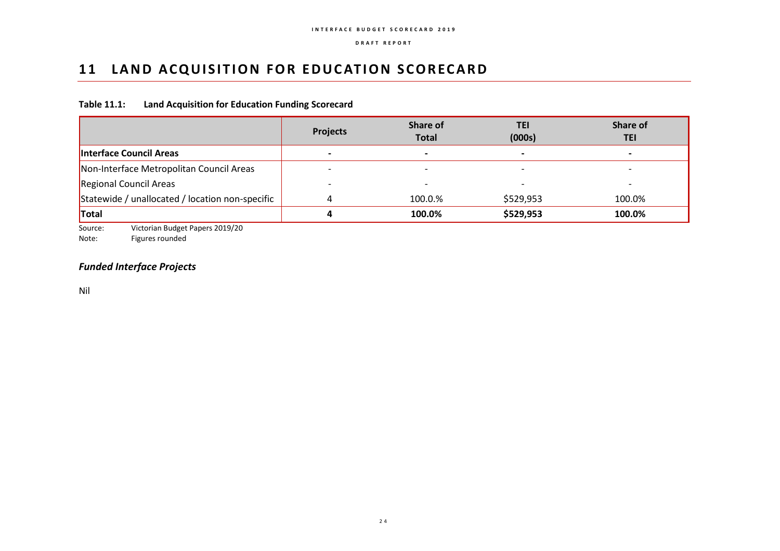## **11 LAND ACQUISITION FOR EDUCATION SCORECARD**

### **Table 11.1: Land Acquisition for Education Funding Scorecard**

|                                                 | <b>Projects</b> | Share of<br><b>Total</b> | <b>TEI</b><br>(000s)     | <b>Share of</b><br>TEI   |
|-------------------------------------------------|-----------------|--------------------------|--------------------------|--------------------------|
| Interface Council Areas                         |                 | $\blacksquare$           | $\overline{\phantom{0}}$ |                          |
| Non-Interface Metropolitan Council Areas        |                 |                          |                          | $\overline{\phantom{0}}$ |
| Regional Council Areas                          |                 | $\overline{\phantom{a}}$ | $\overline{\phantom{a}}$ | -                        |
| Statewide / unallocated / location non-specific | 4               | 100.0.%                  | \$529,953                | 100.0%                   |
| <b>Total</b>                                    | 4               | 100.0%                   | \$529,953                | 100.0%                   |

Source: Victorian Budget Papers 2019/20

Note: Figures rounded

## *Funded Interface Projects*

Nil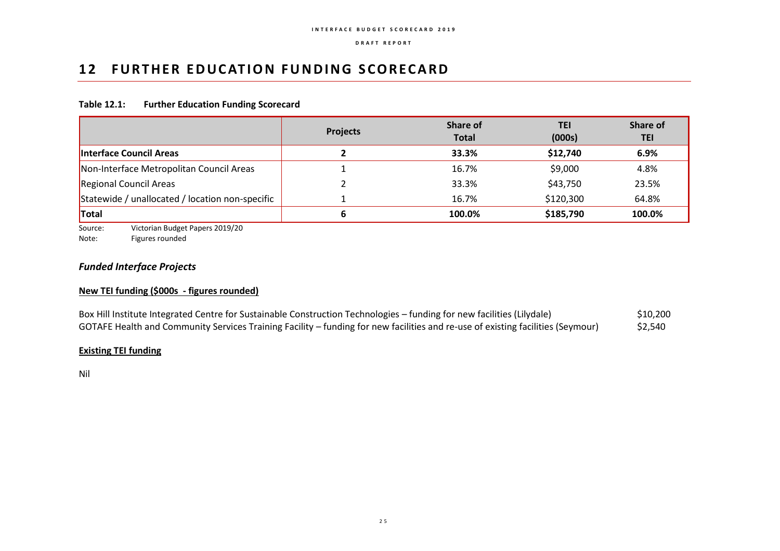## **12 FURTHER EDUCATION FUNDING SCORECARD**

### **Table 12.1: Further Education Funding Scorecard**

|                                                 | <b>Projects</b> | Share of<br><b>Total</b> | TEI<br>(000s) | Share of<br>TEI |
|-------------------------------------------------|-----------------|--------------------------|---------------|-----------------|
| <b>Interface Council Areas</b>                  |                 | 33.3%                    | \$12,740      | 6.9%            |
| Non-Interface Metropolitan Council Areas        |                 | 16.7%                    | \$9,000       | 4.8%            |
| Regional Council Areas                          |                 | 33.3%                    | \$43,750      | 23.5%           |
| Statewide / unallocated / location non-specific |                 | 16.7%                    | \$120,300     | 64.8%           |
| <b>Total</b>                                    | 6               | 100.0%                   | \$185,790     | 100.0%          |

Source: Victorian Budget Papers 2019/20 Note: Figures rounded

### *Funded Interface Projects*

### **New TEI funding (\$000s - figures rounded)**

| Box Hill Institute Integrated Centre for Sustainable Construction Technologies – funding for new facilities (Lilydale)          | \$10,200 |
|---------------------------------------------------------------------------------------------------------------------------------|----------|
| GOTAFE Health and Community Services Training Facility – funding for new facilities and re-use of existing facilities (Seymour) | \$2,540  |

#### **Existing TEI funding**

Nil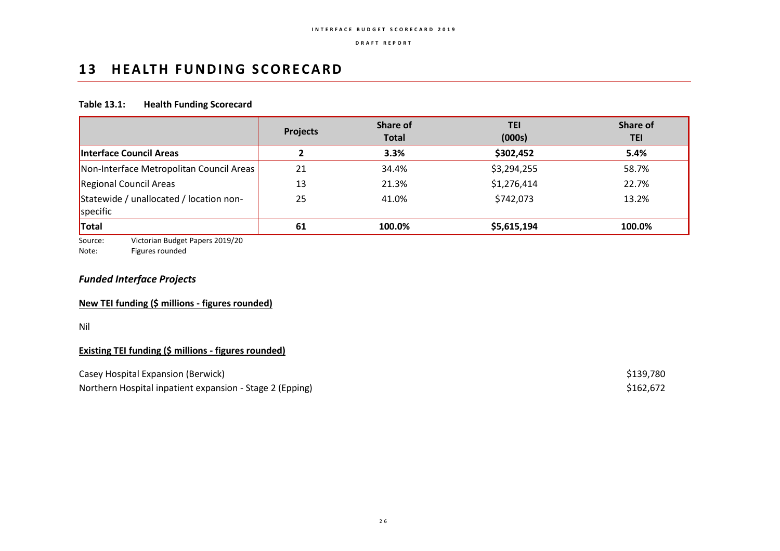## **13 HEALTH FUNDING SCORECARD**

### **Table 13.1: Health Funding Scorecard**

| <b>Projects</b> | <b>Share of</b><br><b>Total</b> | <b>TEI</b><br>(000s) | Share of<br><b>TEI</b> |
|-----------------|---------------------------------|----------------------|------------------------|
|                 | 3.3%                            | \$302,452            | 5.4%                   |
| 21              | 34.4%                           | \$3,294,255          | 58.7%                  |
| 13              | 21.3%                           | \$1,276,414          | 22.7%                  |
| 25              | 41.0%                           | \$742,073            | 13.2%                  |
| 61              | 100.0%                          | \$5,615,194          | 100.0%                 |
|                 |                                 |                      |                        |

Source: Victorian Budget Papers 2019/20

Note: Figures rounded

### *Funded Interface Projects*

### **New TEI funding (\$ millions - figures rounded)**

Nil

#### **Existing TEI funding (\$ millions - figures rounded)**

Casey Hospital Expansion (Berwick)  $\zeta$ 139,780

Northern Hospital inpatient expansion - Stage 2 (Epping)  $$162,672$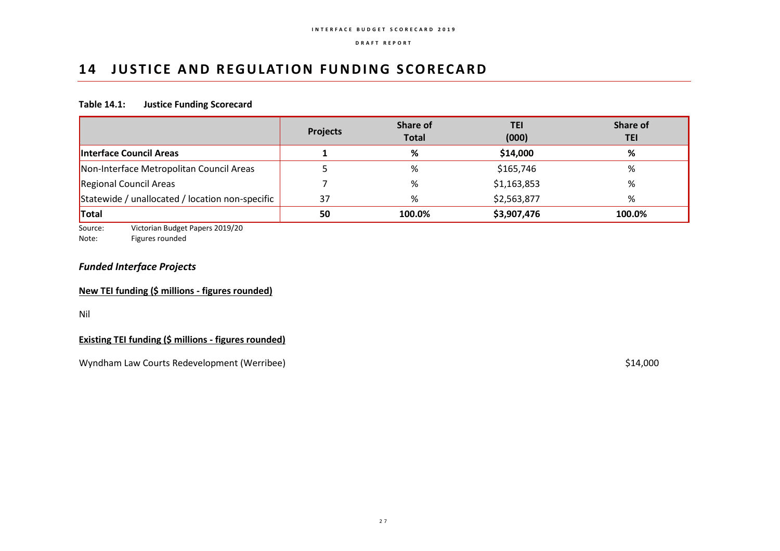## **14 JUSTICE AND REGULATION FUNDING SCORECARD**

#### **Table 14.1: Justice Funding Scorecard**

|                                                 | <b>Projects</b> | Share of<br><b>Total</b> | TEI<br>(000) | Share of<br><b>TEI</b> |
|-------------------------------------------------|-----------------|--------------------------|--------------|------------------------|
| Interface Council Areas                         |                 | %                        | \$14,000     | %                      |
| Non-Interface Metropolitan Council Areas        |                 | %                        | \$165,746    | %                      |
| Regional Council Areas                          |                 | %                        | \$1,163,853  | %                      |
| Statewide / unallocated / location non-specific | 37              | %                        | \$2,563,877  | %                      |
| Total                                           | 50              | 100.0%                   | \$3,907,476  | 100.0%                 |

Source: Victorian Budget Papers 2019/20 Note: Figures rounded

### *Funded Interface Projects*

#### **New TEI funding (\$ millions - figures rounded)**

Nil

## **Existing TEI funding (\$ millions - figures rounded)**

Wyndham Law Courts Redevelopment (Werribee) **\$14,000** \$14,000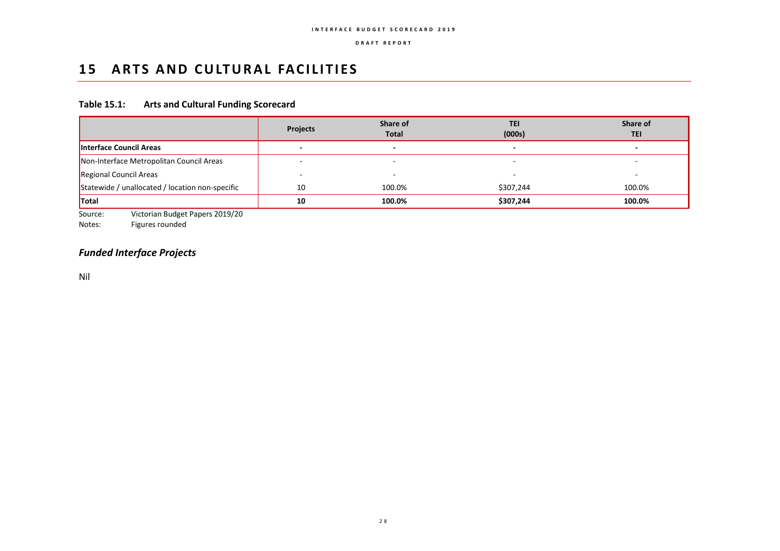## 15 ARTS AND CULTURAL FACILITIES

### **Table 15.1: Arts and Cultural Funding Scorecard**

|                                                 | <b>Projects</b>          | Share of<br><b>Total</b> | <b>TEI</b><br>(000s)     | Share of<br>TEI          |
|-------------------------------------------------|--------------------------|--------------------------|--------------------------|--------------------------|
| Interface Council Areas                         | $\overline{\phantom{0}}$ | $\overline{\phantom{a}}$ | $\overline{\phantom{0}}$ | $\overline{\phantom{0}}$ |
| Non-Interface Metropolitan Council Areas        |                          |                          |                          |                          |
| Regional Council Areas                          |                          |                          |                          |                          |
| Statewide / unallocated / location non-specific | 10                       | 100.0%                   | \$307,244                | 100.0%                   |
| <b>Total</b>                                    | 10                       | 100.0%                   | \$307,244                | 100.0%                   |

Source: Victorian Budget Papers 2019/20<br>Notes: Figures rounded

Figures rounded

## *Funded Interface Projects*

Nil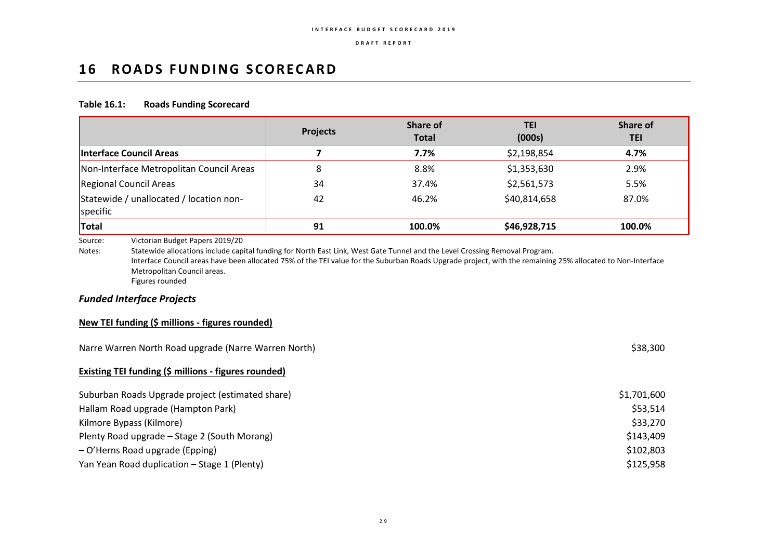## **16 ROADS FUNDING SCORECARD**

#### **Table 16.1: Roads Funding Scorecard**

|                                                     | <b>Projects</b> | <b>Share of</b><br><b>Total</b> | TEI<br>(000s) | Share of<br>TEI |
|-----------------------------------------------------|-----------------|---------------------------------|---------------|-----------------|
| Interface Council Areas                             |                 | 7.7%                            | \$2,198,854   | 4.7%            |
| Non-Interface Metropolitan Council Areas            | 8               | 8.8%                            | \$1,353,630   | 2.9%            |
| Regional Council Areas                              | 34              | 37.4%                           | \$2,561,573   | 5.5%            |
| Statewide / unallocated / location non-<br>specific | 42              | 46.2%                           | \$40,814,658  | 87.0%           |
| Total                                               | 91              | 100.0%                          | \$46,928,715  | 100.0%          |

Source: Victorian Budget Papers 2019/20

Statewide allocations include capital funding for North East Link, West Gate Tunnel and the Level Crossing Removal Program. Interface Council areas have been allocated 75% of the TEI value for the Suburban Roads Upgrade project, with the remaining 25% allocated to Non-Interface Metropolitan Council areas. Figures rounded

## *Funded Interface Projects*

### **New TEI funding (\$ millions - figures rounded)**

| Narre Warren North Road upgrade (Narre Warren North) | \$38,300    |
|------------------------------------------------------|-------------|
| Existing TEI funding (\$ millions - figures rounded) |             |
| Suburban Roads Upgrade project (estimated share)     | \$1,701,600 |
| Hallam Road upgrade (Hampton Park)                   | \$53,514    |
| Kilmore Bypass (Kilmore)                             | \$33,270    |
| Plenty Road upgrade - Stage 2 (South Morang)         | \$143,409   |
| - O'Herns Road upgrade (Epping)                      | \$102,803   |
| Yan Yean Road duplication – Stage 1 (Plenty)         | \$125,958   |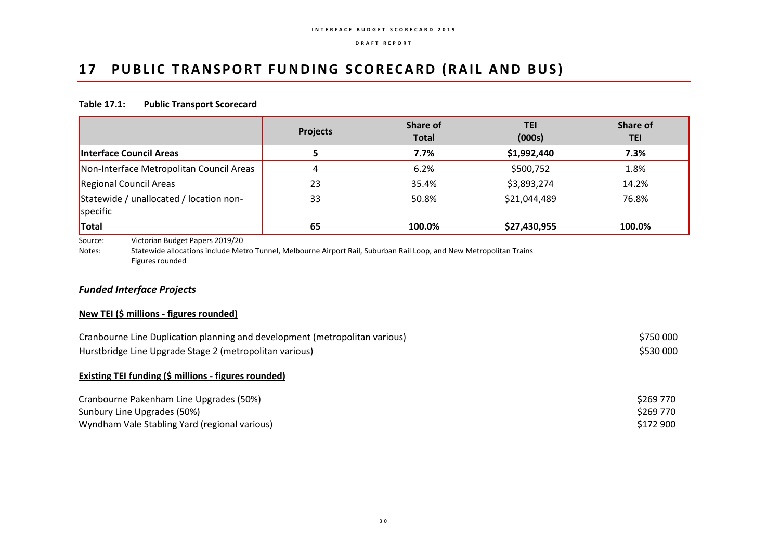## 17 PUBLIC TRANSPORT FUNDING SCORECARD (RAIL AND BUS)

#### **Table 17.1: Public Transport Scorecard**

|                                                     | <b>Projects</b> | Share of<br><b>Total</b> | <b>TEI</b><br>(000s) | Share of<br><b>TEI</b> |
|-----------------------------------------------------|-----------------|--------------------------|----------------------|------------------------|
| Interface Council Areas                             |                 | 7.7%                     | \$1,992,440          | 7.3%                   |
| Non-Interface Metropolitan Council Areas            | 4               | 6.2%                     | \$500,752            | 1.8%                   |
| Regional Council Areas                              | 23              | 35.4%                    | \$3,893,274          | 14.2%                  |
| Statewide / unallocated / location non-<br>specific | 33              | 50.8%                    | \$21,044,489         | 76.8%                  |
| Total                                               | 65              | 100.0%                   | \$27,430,955         | 100.0%                 |

Source: Victorian Budget Papers 2019/20

Statewide allocations include Metro Tunnel, Melbourne Airport Rail, Suburban Rail Loop, and New Metropolitan Trains Figures rounded

### *Funded Interface Projects*

#### **New TEI (\$ millions - figures rounded)**

| Cranbourne Line Duplication planning and development (metropolitan various) | \$750 000 |
|-----------------------------------------------------------------------------|-----------|
| Hurstbridge Line Upgrade Stage 2 (metropolitan various)                     | \$530 000 |

#### **Existing TEI funding (\$ millions - figures rounded)**

| Cranbourne Pakenham Line Upgrades (50%)       | \$269770  |
|-----------------------------------------------|-----------|
| Sunbury Line Upgrades (50%)                   | \$269770  |
| Wyndham Vale Stabling Yard (regional various) | \$172 900 |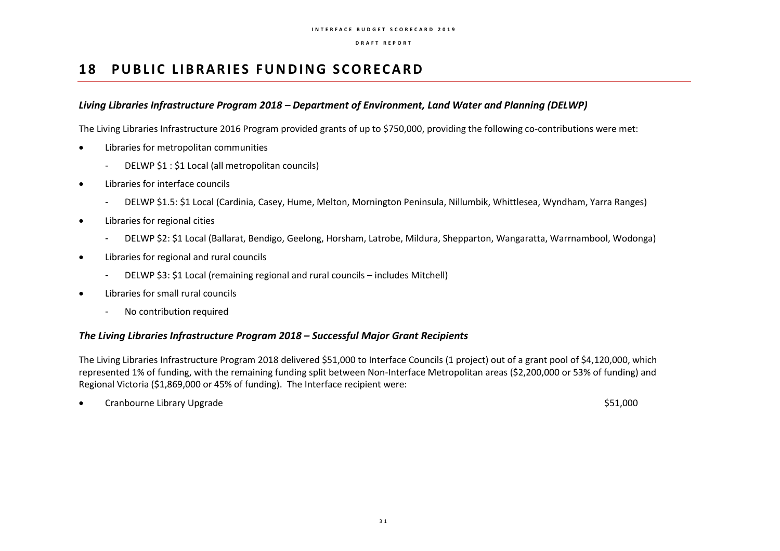## **18 PUBLIC LIBRARIES FUNDING SCORECARD**

## *Living Libraries Infrastructure Program 2018 – Department of Environment, Land Water and Planning (DELWP)*

The Living Libraries Infrastructure 2016 Program provided grants of up to \$750,000, providing the following co-contributions were met:

- Libraries for metropolitan communities
	- DELWP \$1 : \$1 Local (all metropolitan councils)
- Libraries for interface councils
	- DELWP \$1.5: \$1 Local (Cardinia, Casey, Hume, Melton, Mornington Peninsula, Nillumbik, Whittlesea, Wyndham, Yarra Ranges)
- Libraries for regional cities
	- DELWP \$2: \$1 Local (Ballarat, Bendigo, Geelong, Horsham, Latrobe, Mildura, Shepparton, Wangaratta, Warrnambool, Wodonga)
- Libraries for regional and rural councils
	- DELWP \$3: \$1 Local (remaining regional and rural councils includes Mitchell)
- Libraries for small rural councils
	- No contribution required

## *The Living Libraries Infrastructure Program 2018 – Successful Major Grant Recipients*

The Living Libraries Infrastructure Program 2018 delivered \$51,000 to Interface Councils (1 project) out of a grant pool of \$4,120,000, which represented 1% of funding, with the remaining funding split between Non-Interface Metropolitan areas (\$2,200,000 or 53% of funding) and Regional Victoria (\$1,869,000 or 45% of funding). The Interface recipient were:

• Cranbourne Library Upgrade \$51,000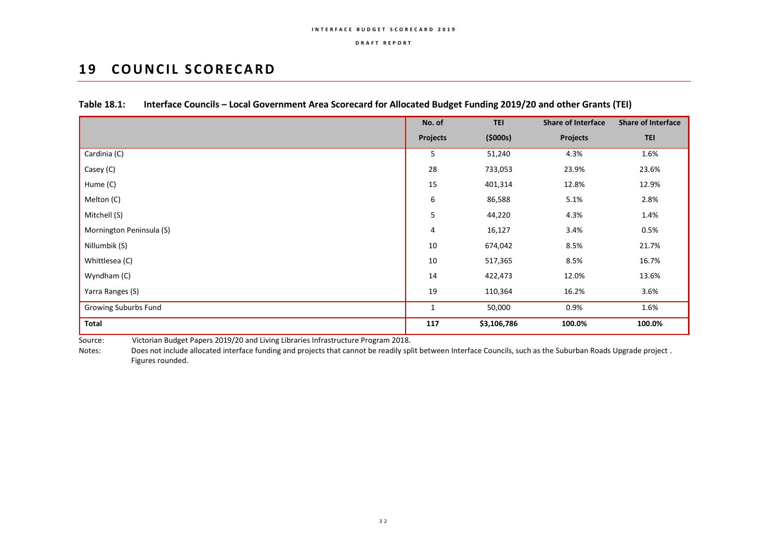## **19 COUNCIL SCORECARD**

|                          | No. of          | <b>TEI</b>  | <b>Share of Interface</b> | <b>Share of Interface</b> |
|--------------------------|-----------------|-------------|---------------------------|---------------------------|
|                          | <b>Projects</b> | (5000s)     | Projects                  | <b>TEI</b>                |
| Cardinia (C)             | 5               | 51,240      | 4.3%                      | 1.6%                      |
| Casey (C)                | 28              | 733,053     | 23.9%                     | 23.6%                     |
| Hume (C)                 | 15              | 401,314     | 12.8%                     | 12.9%                     |
| Melton (C)               | 6               | 86,588      | 5.1%                      | 2.8%                      |
| Mitchell (S)             | 5               | 44,220      | 4.3%                      | 1.4%                      |
| Mornington Peninsula (S) | 4               | 16,127      | 3.4%                      | 0.5%                      |
| Nillumbik (S)            | 10              | 674,042     | 8.5%                      | 21.7%                     |
| Whittlesea (C)           | 10              | 517,365     | 8.5%                      | 16.7%                     |
| Wyndham (C)              | 14              | 422,473     | 12.0%                     | 13.6%                     |
| Yarra Ranges (S)         | 19              | 110,364     | 16.2%                     | 3.6%                      |
| Growing Suburbs Fund     | 1               | 50,000      | 0.9%                      | 1.6%                      |
| Total                    | 117             | \$3,106,786 | 100.0%                    | 100.0%                    |

### **Table 18.1: Interface Councils – Local Government Area Scorecard for Allocated Budget Funding 2019/20 and other Grants (TEI)**

Source: Victorian Budget Papers 2019/20 and Living Libraries Infrastructure Program 2018.

Notes: Does not include allocated interface funding and projects that cannot be readily split between Interface Councils, such as the Suburban Roads Upgrade project. Figures rounded.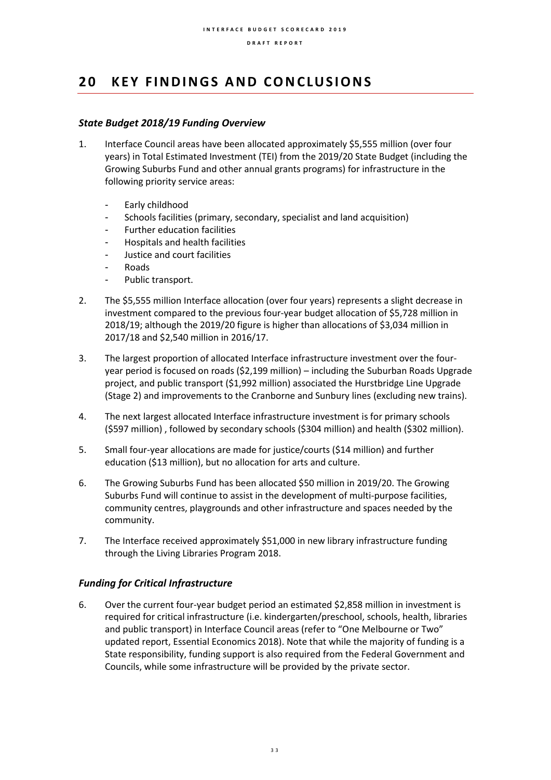## **2 0 K E Y F I N D I N G S A N D C O NC LU S I O N S**

### *State Budget 2018/19 Funding Overview*

- 1. Interface Council areas have been allocated approximately \$5,555 million (over four years) in Total Estimated Investment (TEI) from the 2019/20 State Budget (including the Growing Suburbs Fund and other annual grants programs) for infrastructure in the following priority service areas:
	- Early childhood
	- Schools facilities (primary, secondary, specialist and land acquisition)
	- Further education facilities
	- Hospitals and health facilities
	- Justice and court facilities
	- **Roads**
	- Public transport.
- 2. The \$5,555 million Interface allocation (over four years) represents a slight decrease in investment compared to the previous four-year budget allocation of \$5,728 million in 2018/19; although the 2019/20 figure is higher than allocations of \$3,034 million in 2017/18 and \$2,540 million in 2016/17.
- 3. The largest proportion of allocated Interface infrastructure investment over the fouryear period is focused on roads (\$2,199 million) – including the Suburban Roads Upgrade project, and public transport (\$1,992 million) associated the Hurstbridge Line Upgrade (Stage 2) and improvements to the Cranborne and Sunbury lines (excluding new trains).
- 4. The next largest allocated Interface infrastructure investment is for primary schools (\$597 million) , followed by secondary schools (\$304 million) and health (\$302 million).
- 5. Small four-year allocations are made for justice/courts (\$14 million) and further education (\$13 million), but no allocation for arts and culture.
- 6. The Growing Suburbs Fund has been allocated \$50 million in 2019/20. The Growing Suburbs Fund will continue to assist in the development of multi-purpose facilities, community centres, playgrounds and other infrastructure and spaces needed by the community.
- 7. The Interface received approximately \$51,000 in new library infrastructure funding through the Living Libraries Program 2018.

## *Funding for Critical Infrastructure*

6. Over the current four-year budget period an estimated \$2,858 million in investment is required for critical infrastructure (i.e. kindergarten/preschool, schools, health, libraries and public transport) in Interface Council areas (refer to "One Melbourne or Two" updated report, Essential Economics 2018). Note that while the majority of funding is a State responsibility, funding support is also required from the Federal Government and Councils, while some infrastructure will be provided by the private sector.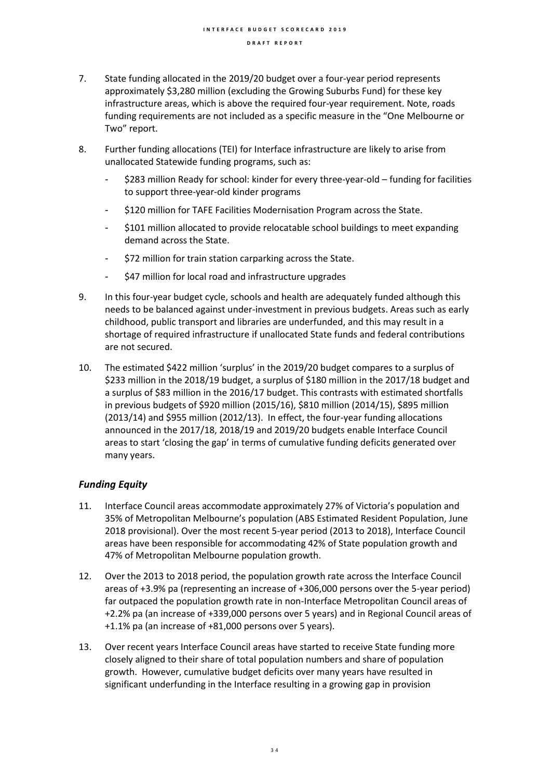- 7. State funding allocated in the 2019/20 budget over a four-year period represents approximately \$3,280 million (excluding the Growing Suburbs Fund) for these key infrastructure areas, which is above the required four-year requirement. Note, roads funding requirements are not included as a specific measure in the "One Melbourne or Two" report.
- 8. Further funding allocations (TEI) for Interface infrastructure are likely to arise from unallocated Statewide funding programs, such as:
	- \$283 million Ready for school: kinder for every three-year-old funding for facilities to support three-year-old kinder programs
	- \$120 million for TAFE Facilities Modernisation Program across the State.
	- \$101 million allocated to provide relocatable school buildings to meet expanding demand across the State.
	- \$72 million for train station carparking across the State.
	- \$47 million for local road and infrastructure upgrades
- 9. In this four-year budget cycle, schools and health are adequately funded although this needs to be balanced against under-investment in previous budgets. Areas such as early childhood, public transport and libraries are underfunded, and this may result in a shortage of required infrastructure if unallocated State funds and federal contributions are not secured.
- 10. The estimated \$422 million 'surplus' in the 2019/20 budget compares to a surplus of \$233 million in the 2018/19 budget, a surplus of \$180 million in the 2017/18 budget and a surplus of \$83 million in the 2016/17 budget. This contrasts with estimated shortfalls in previous budgets of \$920 million (2015/16), \$810 million (2014/15), \$895 million (2013/14) and \$955 million (2012/13). In effect, the four-year funding allocations announced in the 2017/18, 2018/19 and 2019/20 budgets enable Interface Council areas to start 'closing the gap' in terms of cumulative funding deficits generated over many years.

## *Funding Equity*

- 11. Interface Council areas accommodate approximately 27% of Victoria's population and 35% of Metropolitan Melbourne's population (ABS Estimated Resident Population, June 2018 provisional). Over the most recent 5-year period (2013 to 2018), Interface Council areas have been responsible for accommodating 42% of State population growth and 47% of Metropolitan Melbourne population growth.
- 12. Over the 2013 to 2018 period, the population growth rate across the Interface Council areas of +3.9% pa (representing an increase of +306,000 persons over the 5-year period) far outpaced the population growth rate in non-Interface Metropolitan Council areas of +2.2% pa (an increase of +339,000 persons over 5 years) and in Regional Council areas of +1.1% pa (an increase of +81,000 persons over 5 years).
- 13. Over recent years Interface Council areas have started to receive State funding more closely aligned to their share of total population numbers and share of population growth. However, cumulative budget deficits over many years have resulted in significant underfunding in the Interface resulting in a growing gap in provision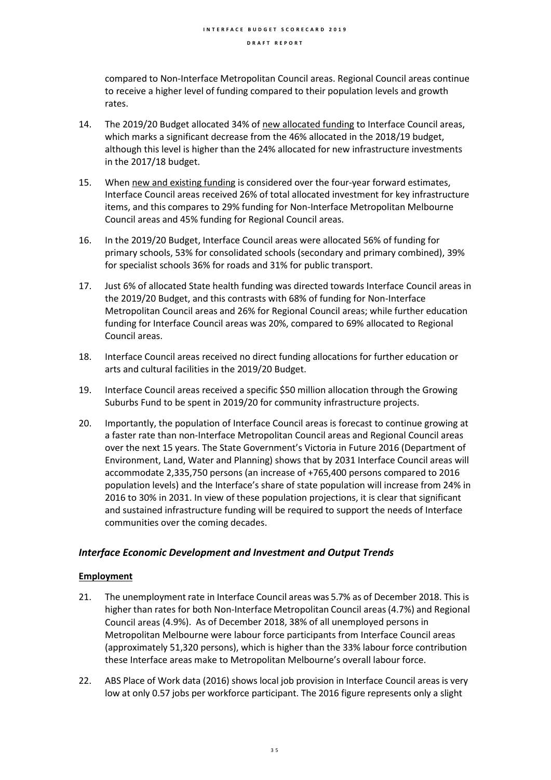compared to Non-Interface Metropolitan Council areas. Regional Council areas continue to receive a higher level of funding compared to their population levels and growth rates.

- 14. The 2019/20 Budget allocated 34% of new allocated funding to Interface Council areas, which marks a significant decrease from the 46% allocated in the 2018/19 budget, although this level is higher than the 24% allocated for new infrastructure investments in the 2017/18 budget.
- 15. When new and existing funding is considered over the four-year forward estimates, Interface Council areas received 26% of total allocated investment for key infrastructure items, and this compares to 29% funding for Non-Interface Metropolitan Melbourne Council areas and 45% funding for Regional Council areas.
- 16. In the 2019/20 Budget, Interface Council areas were allocated 56% of funding for primary schools, 53% for consolidated schools (secondary and primary combined), 39% for specialist schools 36% for roads and 31% for public transport.
- 17. Just 6% of allocated State health funding was directed towards Interface Council areas in the 2019/20 Budget, and this contrasts with 68% of funding for Non-Interface Metropolitan Council areas and 26% for Regional Council areas; while further education funding for Interface Council areas was 20%, compared to 69% allocated to Regional Council areas.
- 18. Interface Council areas received no direct funding allocations for further education or arts and cultural facilities in the 2019/20 Budget.
- 19. Interface Council areas received a specific \$50 million allocation through the Growing Suburbs Fund to be spent in 2019/20 for community infrastructure projects.
- 20. Importantly, the population of Interface Council areas is forecast to continue growing at a faster rate than non-Interface Metropolitan Council areas and Regional Council areas over the next 15 years. The State Government's Victoria in Future 2016 (Department of Environment, Land, Water and Planning) shows that by 2031 Interface Council areas will accommodate 2,335,750 persons (an increase of +765,400 persons compared to 2016 population levels) and the Interface's share of state population will increase from 24% in 2016 to 30% in 2031. In view of these population projections, it is clear that significant and sustained infrastructure funding will be required to support the needs of Interface communities over the coming decades.

#### *Interface Economic Development and Investment and Output Trends*

#### **Employment**

- 21. The unemployment rate in Interface Council areas was 5.7% as of December 2018. This is higher than rates for both Non-Interface Metropolitan Council areas (4.7%) and Regional Council areas (4.9%). As of December 2018, 38% of all unemployed persons in Metropolitan Melbourne were labour force participants from Interface Council areas (approximately 51,320 persons), which is higher than the 33% labour force contribution these Interface areas make to Metropolitan Melbourne's overall labour force.
- 22. ABS Place of Work data (2016) shows local job provision in Interface Council areas is very low at only 0.57 jobs per workforce participant. The 2016 figure represents only a slight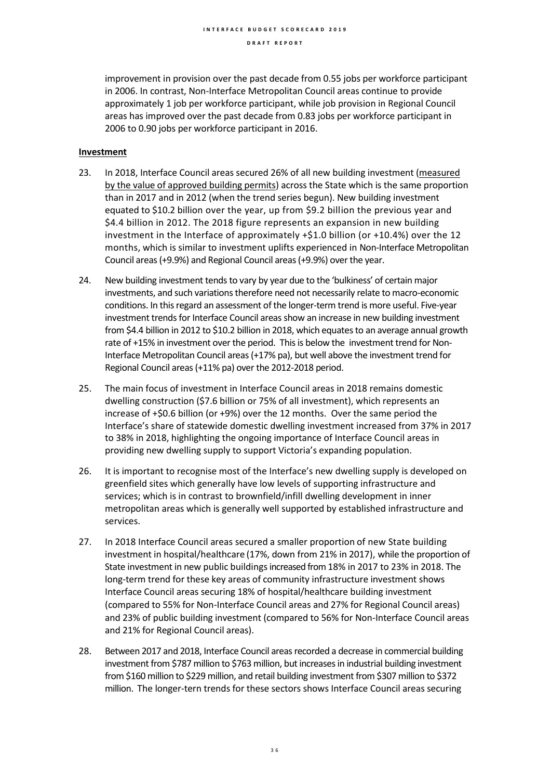improvement in provision over the past decade from 0.55 jobs per workforce participant in 2006. In contrast, Non-Interface Metropolitan Council areas continue to provide approximately 1 job per workforce participant, while job provision in Regional Council areas has improved over the past decade from 0.83 jobs per workforce participant in 2006 to 0.90 jobs per workforce participant in 2016.

#### **Investment**

- 23. In 2018, Interface Council areas secured 26% of all new building investment (measured by the value of approved building permits) across the State which is the same proportion than in 2017 and in 2012 (when the trend series begun). New building investment equated to \$10.2 billion over the year, up from \$9.2 billion the previous year and \$4.4 billion in 2012. The 2018 figure represents an expansion in new building investment in the Interface of approximately +\$1.0 billion (or +10.4%) over the 12 months, which is similar to investment uplifts experienced in Non-Interface Metropolitan Council areas (+9.9%) and Regional Council areas (+9.9%) over the year.
- 24. New building investment tends to vary by year due to the 'bulkiness' of certain major investments, and such variations therefore need not necessarily relate to macro-economic conditions. In this regard an assessment of the longer-term trend is more useful. Five-year investment trends for Interface Council areas show an increase in new building investment from \$4.4 billion in 2012 to \$10.2 billion in 2018, which equates to an average annual growth rate of +15% in investment over the period. This is below the investment trend for Non-Interface Metropolitan Council areas (+17% pa), but well above the investment trend for Regional Council areas (+11% pa) over the 2012-2018 period.
- 25. The main focus of investment in Interface Council areas in 2018 remains domestic dwelling construction (\$7.6 billion or 75% of all investment), which represents an increase of +\$0.6 billion (or +9%) over the 12 months. Over the same period the Interface's share of statewide domestic dwelling investment increased from 37% in 2017 to 38% in 2018, highlighting the ongoing importance of Interface Council areas in providing new dwelling supply to support Victoria's expanding population.
- 26. It is important to recognise most of the Interface's new dwelling supply is developed on greenfield sites which generally have low levels of supporting infrastructure and services; which is in contrast to brownfield/infill dwelling development in inner metropolitan areas which is generally well supported by established infrastructure and services.
- 27. In 2018 Interface Council areas secured a smaller proportion of new State building investment in hospital/healthcare (17%, down from 21% in 2017), while the proportion of State investment in new public buildings increased from 18% in 2017 to 23% in 2018. The long-term trend for these key areas of community infrastructure investment shows Interface Council areas securing 18% of hospital/healthcare building investment (compared to 55% for Non-Interface Council areas and 27% for Regional Council areas) and 23% of public building investment (compared to 56% for Non-Interface Council areas and 21% for Regional Council areas).
- 28. Between 2017 and 2018, Interface Council areas recorded a decrease in commercial building investment from \$787 million to \$763 million, but increases in industrial building investment from \$160 million to \$229 million, and retail building investment from \$307 million to \$372 million. The longer-tern trends for these sectors shows Interface Council areas securing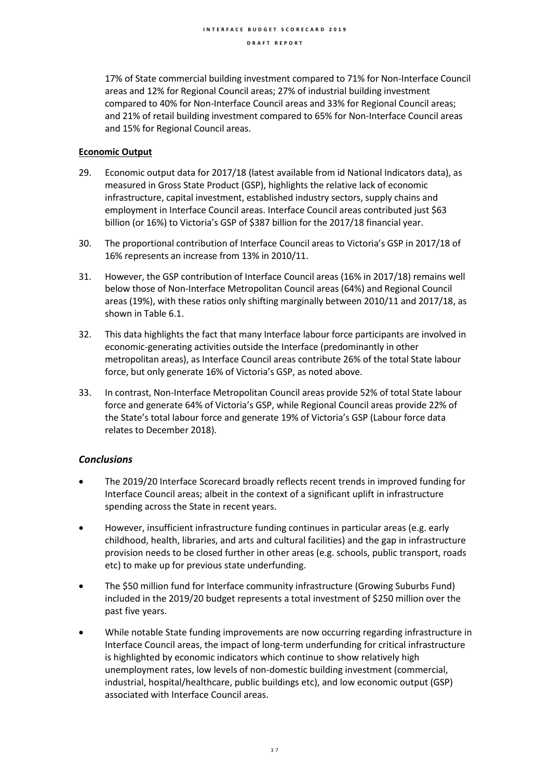17% of State commercial building investment compared to 71% for Non-Interface Council areas and 12% for Regional Council areas; 27% of industrial building investment compared to 40% for Non-Interface Council areas and 33% for Regional Council areas; and 21% of retail building investment compared to 65% for Non-Interface Council areas and 15% for Regional Council areas.

#### **Economic Output**

- 29. Economic output data for 2017/18 (latest available from id National Indicators data), as measured in Gross State Product (GSP), highlights the relative lack of economic infrastructure, capital investment, established industry sectors, supply chains and employment in Interface Council areas. Interface Council areas contributed just \$63 billion (or 16%) to Victoria's GSP of \$387 billion for the 2017/18 financial year.
- 30. The proportional contribution of Interface Council areas to Victoria's GSP in 2017/18 of 16% represents an increase from 13% in 2010/11.
- 31. However, the GSP contribution of Interface Council areas (16% in 2017/18) remains well below those of Non-Interface Metropolitan Council areas (64%) and Regional Council areas (19%), with these ratios only shifting marginally between 2010/11 and 2017/18, as shown in Table 6.1.
- 32. This data highlights the fact that many Interface labour force participants are involved in economic-generating activities outside the Interface (predominantly in other metropolitan areas), as Interface Council areas contribute 26% of the total State labour force, but only generate 16% of Victoria's GSP, as noted above.
- 33. In contrast, Non-Interface Metropolitan Council areas provide 52% of total State labour force and generate 64% of Victoria's GSP, while Regional Council areas provide 22% of the State's total labour force and generate 19% of Victoria's GSP (Labour force data relates to December 2018).

#### *Conclusions*

- The 2019/20 Interface Scorecard broadly reflects recent trends in improved funding for Interface Council areas; albeit in the context of a significant uplift in infrastructure spending across the State in recent years.
- However, insufficient infrastructure funding continues in particular areas (e.g. early childhood, health, libraries, and arts and cultural facilities) and the gap in infrastructure provision needs to be closed further in other areas (e.g. schools, public transport, roads etc) to make up for previous state underfunding.
- The \$50 million fund for Interface community infrastructure (Growing Suburbs Fund) included in the 2019/20 budget represents a total investment of \$250 million over the past five years.
- While notable State funding improvements are now occurring regarding infrastructure in Interface Council areas, the impact of long-term underfunding for critical infrastructure is highlighted by economic indicators which continue to show relatively high unemployment rates, low levels of non-domestic building investment (commercial, industrial, hospital/healthcare, public buildings etc), and low economic output (GSP) associated with Interface Council areas.